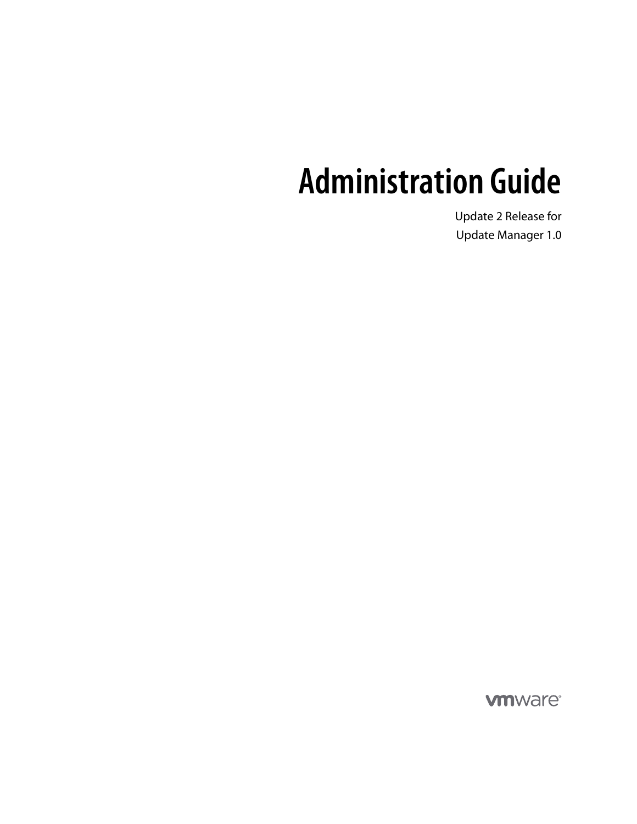# **Administration Guide**

Update 2 Release for Update Manager 1.0

**vm**ware<sup>®</sup>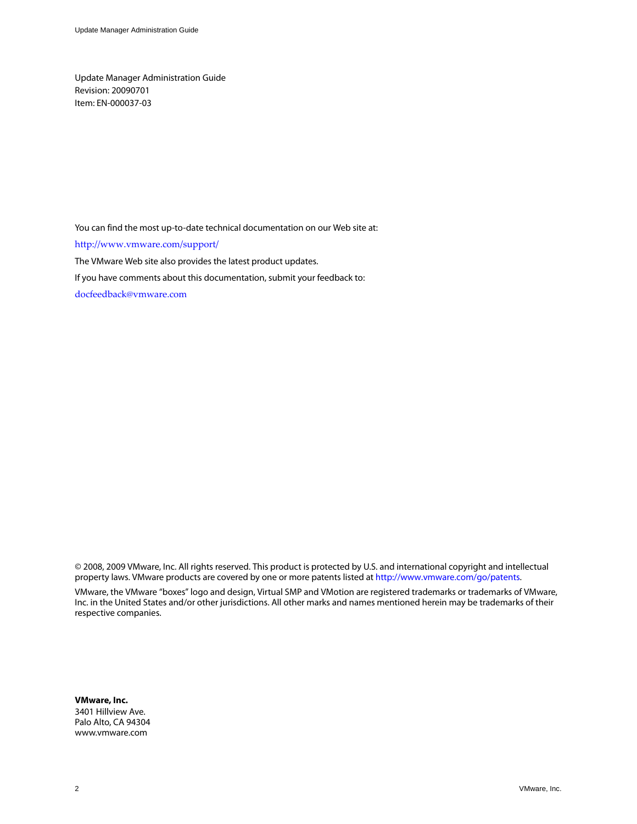Update Manager Administration Guide Revision: 20090701 Item: EN-000037-03

You can find the most up-to-date technical documentation on our Web site at:

[http://www.vmware.com/support/](http://www.vmware.com/support)

The VMware Web site also provides the latest product updates.

If you have comments about this documentation, submit your feedback to:

[docfeedback@vmware.com](mailto:docfeedback@vmware.com)

© 2008, 2009 VMware, Inc. All rights reserved. This product is protected by U.S. and international copyright and intellectual property laws. VMware products are covered by one or more patents listed at http://www.vmware.com/go/patents.

VMware, the VMware "boxes" logo and design, Virtual SMP and VMotion are registered trademarks or trademarks of VMware, Inc. in the United States and/or other jurisdictions. All other marks and names mentioned herein may be trademarks of their respective companies.

**VMware, Inc.** 3401 Hillview Ave.

Palo Alto, CA 94304 www.vmware.com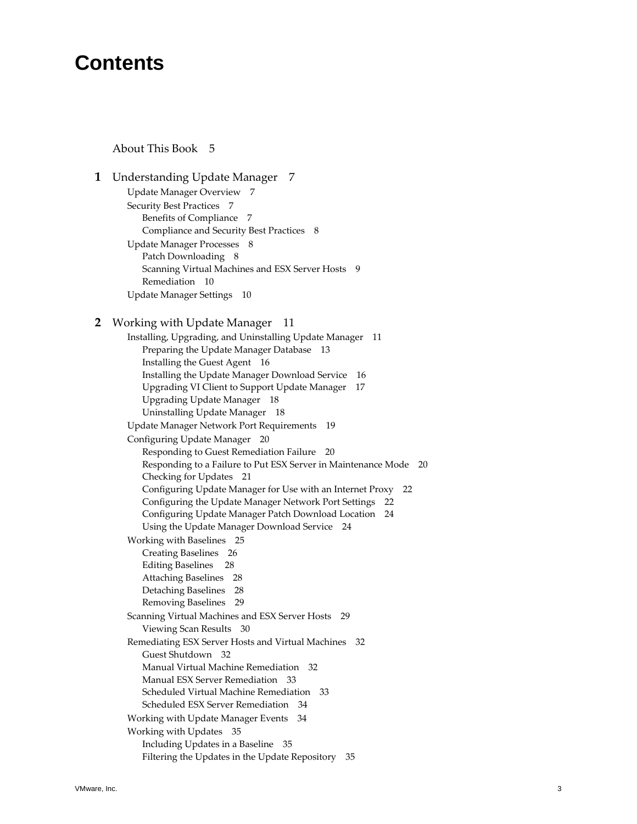# **Contents**

About This [Book 5](#page-4-0)

**[1](#page-6-0)** [Understanding](#page-6-1) Update Manager 7 Update Manager [Overview 7](#page-6-2) Security Best [Practices 7](#page-6-3) Benefits of [Compliance 7](#page-6-4) Compliance and Security Best [Practices 8](#page-7-0) Update Manager [Processes 8](#page-7-1) Patch [Downloading 8](#page-7-2) Scanning Virtual [Machines](#page-8-0) and ESX Server Hosts 9 [Remediation 10](#page-9-0) Update Manager [Settings 10](#page-9-1) **[2](#page-10-0)** Working with Update [Manager 11](#page-10-1) Installing, Upgrading, and Uninstalling Update [Manager 11](#page-10-2) Preparing the Update Manager [Database 13](#page-12-0) Installing the Guest [Agent 16](#page-15-0) Installing the Update Manager Download [Service 16](#page-15-1) Upgrading VI Client to Support Update [Manager 17](#page-16-0) Upgrading Update [Manager 18](#page-17-0) Uninstalling Update [Manager 18](#page-17-1) Update Manager Network Port [Requirements 19](#page-18-0) Configuring Update [Manager 20](#page-19-0) Responding to Guest [Remediation](#page-19-1) Failure 20 Responding to a Failure to Put ESX Server in [Maintenance](#page-19-2) Mode 20 Checking for [Updates 21](#page-20-0) [Configuring](#page-21-0) Update Manager for Use with an Internet Proxy 22 Configuring the Update Manager Network Port [Settings 22](#page-21-1) Configuring Update Manager Patch Download [Location 24](#page-23-0) Using the Update Manager Download [Service 24](#page-23-1) Working with [Baselines 25](#page-24-0) Creating [Baselines 26](#page-25-0) Editing [Baselines](#page-27-0) 28 Attaching [Baselines 28](#page-27-1) Detaching [Baselines 28](#page-27-2) Removing [Baselines 29](#page-28-0) Scanning Virtual Machines and ESX Server [Hosts 29](#page-28-1) Viewing Scan [Results 30](#page-29-0) Remediating ESX Server Hosts and Virtual [Machines 32](#page-31-0) Guest [Shutdown 32](#page-31-1) Manual Virtual Machine [Remediation 32](#page-31-2) Manual ESX Server [Remediation 33](#page-32-0) Scheduled Virtual Machine [Remediation 33](#page-32-1) Scheduled ESX Server [Remediation 34](#page-33-0) Working with Update Manager [Events 34](#page-33-1) Working with [Updates 35](#page-34-0) Including Updates in a [Baseline 35](#page-34-1) Filtering the Updates in the Update [Repository 35](#page-34-2)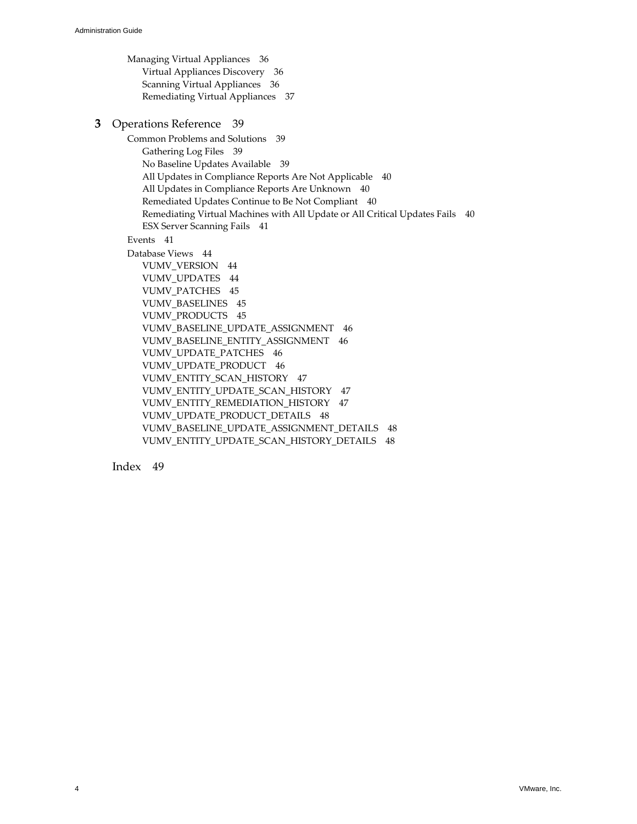Managing Virtual [Appliances 36](#page-35-0) Virtual Appliances [Discovery 36](#page-35-1) Scanning Virtual [Appliances 36](#page-35-2) Remediating Virtual [Appliances 37](#page-36-0) **[3](#page-38-0)** Operations [Reference 39](#page-38-1) Common Problems and [Solutions 39](#page-38-2) [Gathering](#page-38-3) Log Files 39 No Baseline Updates [Available 39](#page-38-4) All Updates in Compliance Reports Are Not [Applicable 40](#page-39-0) All Updates in Compliance Reports Are [Unknown 40](#page-39-1) Remediated Updates Continue to Be Not [Compliant 40](#page-39-2) [Remediating](#page-39-3) Virtual Machines with All Update or All Critical Updates Fails 40 ESX Server [Scanning](#page-40-0) Fails 41 [Events 41](#page-40-1) Database [Views 44](#page-43-0) [VUMV\\_VERSION 44](#page-43-1) [VUMV\\_UPDATES 44](#page-43-2) [VUMV\\_PATCHES 45](#page-44-0) [VUMV\\_BASELINES 45](#page-44-1) [VUMV\\_PRODUCTS 45](#page-44-2) [VUMV\\_BASELINE\\_UPDATE\\_ASSIGNMENT 46](#page-45-0) [VUMV\\_BASELINE\\_ENTITY\\_ASSIGNMENT 46](#page-45-1) [VUMV\\_UPDATE\\_PATCHES 46](#page-45-2) [VUMV\\_UPDATE\\_PRODUCT 46](#page-45-3) [VUMV\\_ENTITY\\_SCAN\\_HISTORY 47](#page-46-0) [VUMV\\_ENTITY\\_UPDATE\\_SCAN\\_HISTORY 47](#page-46-1) [VUMV\\_ENTITY\\_REMEDIATION\\_HISTORY 47](#page-46-2) [VUMV\\_UPDATE\\_PRODUCT\\_DETAILS 48](#page-47-0) [VUMV\\_BASELINE\\_UPDATE\\_ASSIGNMENT\\_DETAILS 48](#page-47-1) [VUMV\\_ENTITY\\_UPDATE\\_SCAN\\_HISTORY\\_DETAILS 48](#page-47-2)

[Index 49](#page-48-0)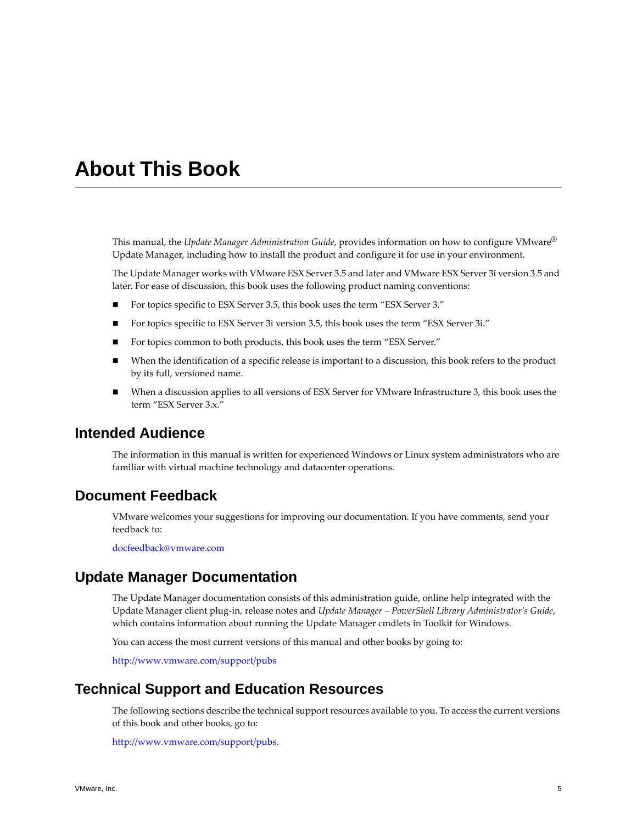# <span id="page-4-0"></span>**About This Book**

This manual, the *Update Manager Administration Guide*, provides information on how to configure VMware® Update Manager, including how to install the product and configure it for use in your environment.

The Update Manager works with VMware ESX Server 3.5 and later and VMware ESX Server 3i version 3.5 and later. For ease of discussion, this book uses the following product naming conventions:

- For topics specific to ESX Server 3.5, this book uses the term "ESX Server 3."
- For topics specific to ESX Server 3i version 3.5, this book uses the term "ESX Server 3i."
- For topics common to both products, this book uses the term "ESX Server."
- When the identification of a specific release is important to a discussion, this book refers to the product by its full, versioned name.
- When a discussion applies to all versions of ESX Server for VMware Infrastructure 3, this book uses the term "ESX Server 3.x."

# **Intended Audience**

The information in this manual is written for experienced Windows or Linux system administrators who are familiar with virtual machine technology and datacenter operations.

# **Document Feedback**

VMware welcomes your suggestions for improving our documentation. If you have comments, send your feedback to:

[docfeedback@vmware.com](mailto:docfeedback@vmware.com)

# **Update Manager Documentation**

The Update Manager documentation consists of this administration guide, online help integrated with the Update Manager client plug‐in, release notes and *Update Manager – PowerShell Library Administrator's Guide*, which contains information about running the Update Manager cmdlets in Toolkit for Windows.

You can access the most current versions of this manual and other books by going to:

<http://www.vmware.com/support/pubs>

# **Technical Support and Education Resources**

The following sections describe the technical support resources available to you. To access the current versions of this book and other books, go to:

[http://www.vmware.com/support/pubs.](http://www.vmware.com/support/pubs)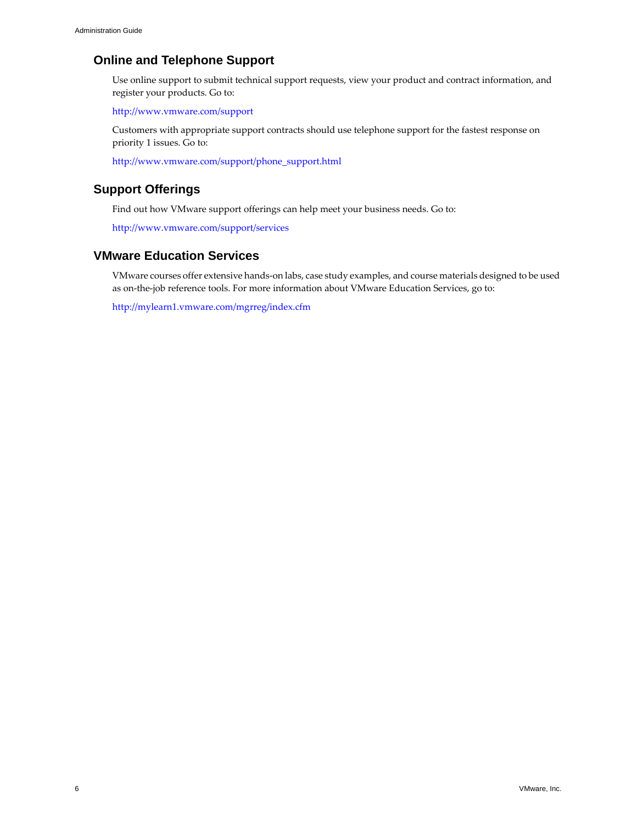# **Online and Telephone Support**

Use online support to submit technical support requests, view your product and contract information, and register your products. Go to:

<http://www.vmware.com/support>

Customers with appropriate support contracts should use telephone support for the fastest response on priority 1 issues. Go to:

[http://www.vmware.com/support/phone\\_support.html](http://www.vmware.com/support/phone_support.html)

# **Support Offerings**

Find out how VMware support offerings can help meet your business needs. Go to:

<http://www.vmware.com/support/services>

# **VMware Education Services**

VMware courses offer extensive hands‐on labs, case study examples, and course materials designed to be used as on-the-job reference tools. For more information about VMware Education Services, go to:

<http://mylearn1.vmware.com/mgrreg/index.cfm>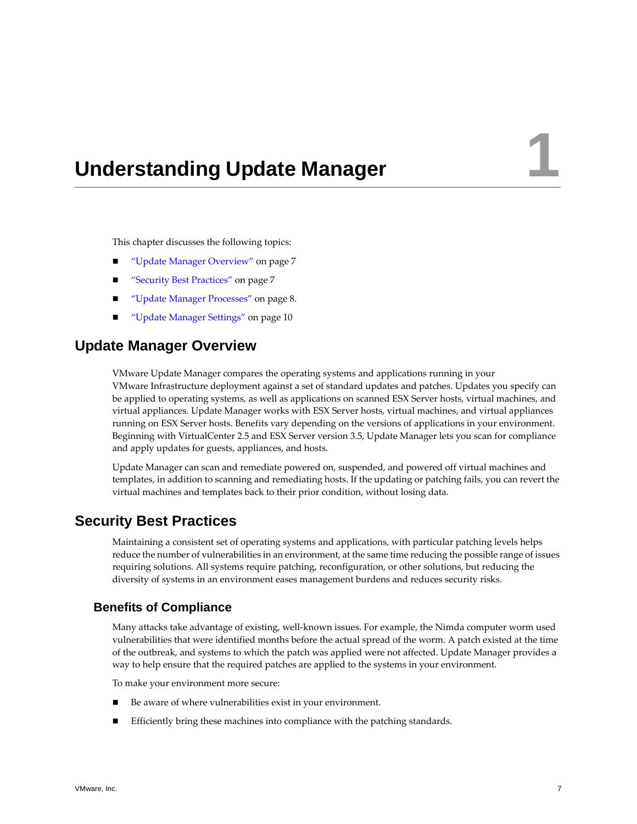# <span id="page-6-1"></span><span id="page-6-0"></span>**Understanding Update Manager**

This chapter discusses the following topics:

- "Update Manager [Overview"](#page-6-2) on page 7
- "Security Best [Practices"](#page-6-3) on page 7
- "Update Manager [Processes"](#page-7-1) on page 8.
- "Update Manager [Settings"](#page-9-1) on page 10

# <span id="page-6-2"></span>**Update Manager Overview**

VMware Update Manager compares the operating systems and applications running in your VMware Infrastructure deployment against a set of standard updates and patches. Updates you specify can be applied to operating systems, as well as applications on scanned ESX Server hosts, virtual machines, and virtual appliances. Update Manager works with ESX Server hosts, virtual machines, and virtual appliances running on ESX Server hosts. Benefits vary depending on the versions of applications in your environment. Beginning with VirtualCenter 2.5 and ESX Server version 3.5, Update Manager lets you scan for compliance and apply updates for guests, appliances, and hosts.

Update Manager can scan and remediate powered on, suspended, and powered off virtual machines and templates, in addition to scanning and remediating hosts. If the updating or patching fails, you can revert the virtual machines and templates back to their prior condition, without losing data.

# <span id="page-6-3"></span>**Security Best Practices**

Maintaining a consistent set of operating systems and applications, with particular patching levels helps reduce the number of vulnerabilities in an environment, at the same time reducing the possible range of issues requiring solutions. All systems require patching, reconfiguration, or other solutions, but reducing the diversity of systems in an environment eases management burdens and reduces security risks.

### <span id="page-6-4"></span>**Benefits of Compliance**

Many attacks take advantage of existing, well‐known issues. For example, the Nimda computer worm used vulnerabilities that were identified months before the actual spread of the worm. A patch existed at the time of the outbreak, and systems to which the patch was applied were not affected. Update Manager provides a way to help ensure that the required patches are applied to the systems in your environment.

To make your environment more secure:

- Be aware of where vulnerabilities exist in your environment.
- Efficiently bring these machines into compliance with the patching standards.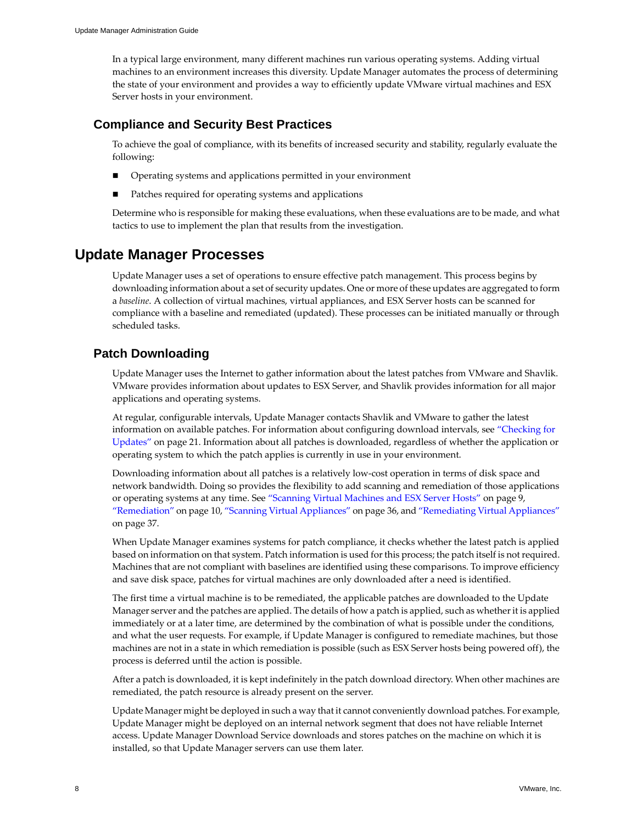In a typical large environment, many different machines run various operating systems. Adding virtual machines to an environment increases this diversity. Update Manager automates the process of determining the state of your environment and provides a way to efficiently update VMware virtual machines and ESX Server hosts in your environment.

# <span id="page-7-0"></span>**Compliance and Security Best Practices**

To achieve the goal of compliance, with its benefits of increased security and stability, regularly evaluate the following:

- Operating systems and applications permitted in your environment
- Patches required for operating systems and applications

<span id="page-7-4"></span>Determine who is responsible for making these evaluations, when these evaluations are to be made, and what tactics to use to implement the plan that results from the investigation.

# <span id="page-7-1"></span>**Update Manager Processes**

Update Manager uses a set of operations to ensure effective patch management. This process begins by downloading information about a set of security updates. One or more of these updates are aggregated to form a *baseline*. A collection of virtual machines, virtual appliances, and ESX Server hosts can be scanned for compliance with a baseline and remediated (updated). These processes can be initiated manually or through scheduled tasks.

# <span id="page-7-2"></span>**Patch Downloading**

<span id="page-7-3"></span>Update Manager uses the Internet to gather information about the latest patches from VMware and Shavlik. VMware provides information about updates to ESX Server, and Shavlik provides information for all major applications and operating systems.

At regular, configurable intervals, Update Manager contacts Shavlik and VMware to gather the latest information on available patches. For information about configuring download intervals, see ["Checking](#page-20-1) for [Updates"](#page-20-1) on page 21. Information about all patches is downloaded, regardless of whether the application or operating system to which the patch applies is currently in use in your environment.

Downloading information about all patches is a relatively low‐cost operation in terms of disk space and network bandwidth. Doing so provides the flexibility to add scanning and remediation of those applications or operating systems at any time. See ["Scanning](#page-8-0) Virtual Machines and ESX Server Hosts" on page 9, ["Remediation"](#page-9-0) on page 10, "Scanning Virtual [Appliances"](#page-35-3) on page 36, and ["Remediating](#page-36-1) Virtual Appliances" on [page 37.](#page-36-1)

When Update Manager examines systems for patch compliance, it checks whether the latest patch is applied based on information on that system. Patch information is used forthis process; the patch itself is notrequired. Machines that are not compliant with baselines are identified using these comparisons. To improve efficiency and save disk space, patches for virtual machines are only downloaded after a need is identified.

The first time a virtual machine is to be remediated, the applicable patches are downloaded to the Update Manager server and the patches are applied. The details of how a patch is applied, such as whetherit is applied immediately or at a later time, are determined by the combination of what is possible under the conditions, and what the user requests. For example, if Update Manager is configured to remediate machines, but those machines are not in a state in which remediation is possible (such as ESX Server hosts being powered off), the process is deferred until the action is possible.

After a patch is downloaded, it is kept indefinitely in the patch download directory. When other machines are remediated, the patch resource is already present on the server.

Update Manager might be deployed in such a way that it cannot conveniently download patches. For example, Update Manager might be deployed on an internal network segment that does not have reliable Internet access. Update Manager Download Service downloads and stores patches on the machine on which it is installed, so that Update Manager servers can use them later.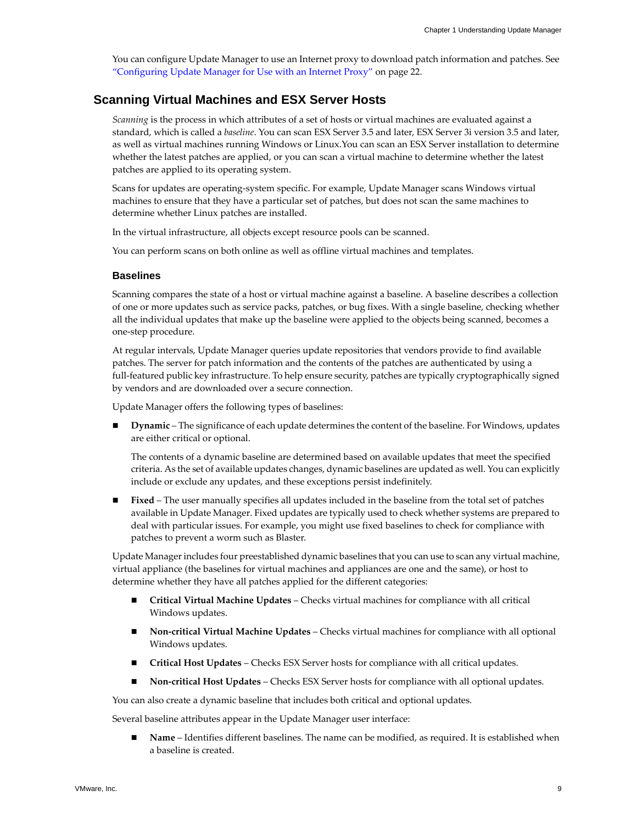<span id="page-8-2"></span>You can configure Update Manager to use an Internet proxy to download patch information and patches. See ["Configuring](#page-21-2) Update Manager for Use with an Internet Proxy" on page 22.

### <span id="page-8-0"></span>**Scanning Virtual Machines and ESX Server Hosts**

*Scanning* is the process in which attributes of a set of hosts or virtual machines are evaluated against a standard, which is called a *baseline*. You can scan ESX Server 3.5 and later, ESX Server 3i version 3.5 and later, as well as virtual machines running Windows or Linux.You can scan an ESX Server installation to determine whether the latest patches are applied, or you can scan a virtual machine to determine whether the latest patches are applied to its operating system.

Scans for updates are operating‐system specific. For example, Update Manager scans Windows virtual machines to ensure that they have a particular set of patches, but does not scan the same machines to determine whether Linux patches are installed.

In the virtual infrastructure, all objects except resource pools can be scanned.

You can perform scans on both online as well as offline virtual machines and templates.

### <span id="page-8-1"></span>**Baselines**

Scanning compares the state of a host or virtual machine against a baseline. A baseline describes a collection of one or more updates such as service packs, patches, or bug fixes. With a single baseline, checking whether all the individual updates that make up the baseline were applied to the objects being scanned, becomes a one‐step procedure.

At regular intervals, Update Manager queries update repositories that vendors provide to find available patches. The server for patch information and the contents of the patches are authenticated by using a full‐featured public key infrastructure. To help ensure security, patches are typically cryptographically signed by vendors and are downloaded over a secure connection.

Update Manager offers the following types of baselines:

 **Dynamic** – The significance of each update determines the content of the baseline. For Windows, updates are either critical or optional.

The contents of a dynamic baseline are determined based on available updates that meet the specified criteria. As the set of available updates changes, dynamic baselines are updated as well. You can explicitly include or exclude any updates, and these exceptions persist indefinitely.

 **Fixed** – The user manually specifies all updates included in the baseline from the total set of patches available in Update Manager. Fixed updates are typically used to check whether systems are prepared to deal with particular issues. For example, you might use fixed baselines to check for compliance with patches to prevent a worm such as Blaster.

Update Managerincludes four preestablished dynamic baselines that you can use to scan any virtual machine, virtual appliance (the baselines for virtual machines and appliances are one and the same), or host to determine whether they have all patches applied for the different categories:

- **Critical Virtual Machine Updates** Checks virtual machines for compliance with all critical Windows updates.
- **Non‐critical Virtual Machine Updates** Checks virtual machines for compliance with all optional Windows updates.
- **Critical Host Updates** Checks ESX Server hosts for compliance with all critical updates.
- **Non‐critical Host Updates** Checks ESX Server hosts for compliance with all optional updates.

You can also create a dynamic baseline that includes both critical and optional updates.

Several baseline attributes appear in the Update Manager user interface:

 **Name** – Identifies different baselines. The name can be modified, as required. It is established when a baseline is created.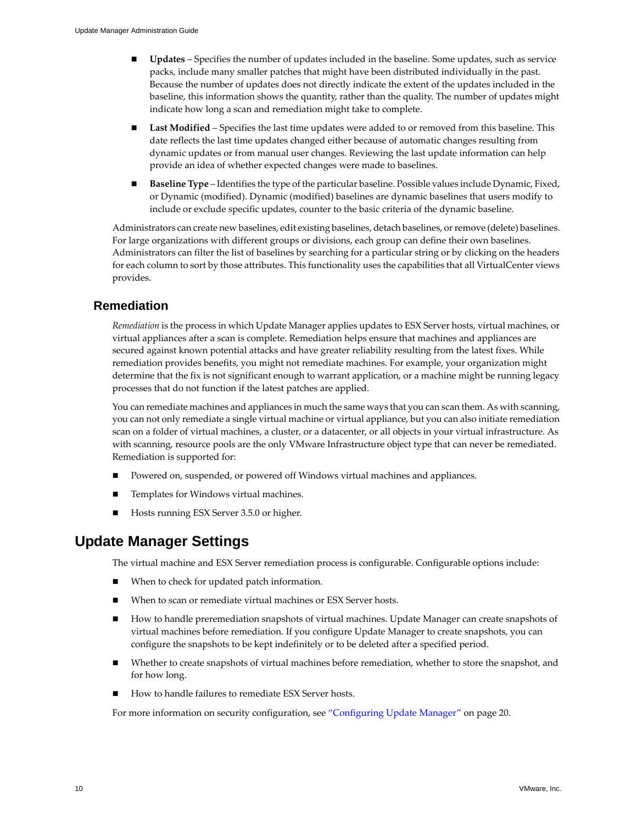- **Updates** Specifies the number of updates included in the baseline. Some updates, such as service packs, include many smaller patches that might have been distributed individually in the past. Because the number of updates does not directly indicate the extent of the updates included in the baseline, this information shows the quantity, rather than the quality. The number of updates might indicate how long a scan and remediation might take to complete.
- **Last Modified** Specifies the last time updates were added to or removed from this baseline. This date reflects the last time updates changed either because of automatic changes resulting from dynamic updates or from manual user changes. Reviewing the last update information can help provide an idea of whether expected changes were made to baselines.
- **Baseline Type** Identifies the type of the particular baseline. Possible values include Dynamic, Fixed, or Dynamic (modified). Dynamic (modified) baselines are dynamic baselines that users modify to include or exclude specific updates, counter to the basic criteria of the dynamic baseline.

<span id="page-9-2"></span>Administrators can create new baselines, edit existing baselines, detach baselines, orremove (delete) baselines. For large organizations with different groups or divisions, each group can define their own baselines. Administrators can filter the list of baselines by searching for a particular string or by clicking on the headers for each column to sort by those attributes. This functionality uses the capabilities that all VirtualCenter views provides.

# <span id="page-9-0"></span>**Remediation**

<span id="page-9-4"></span>*Remediation* is the process in which Update Manager applies updates to ESX Server hosts, virtual machines, or virtual appliances after a scan is complete. Remediation helps ensure that machines and appliances are secured against known potential attacks and have greater reliability resulting from the latest fixes. While remediation provides benefits, you might not remediate machines. For example, your organization might determine that the fix is not significant enough to warrant application, or a machine might be running legacy processes that do not function if the latest patches are applied.

You can remediate machines and appliances in much the same ways that you can scan them. As with scanning, you can not only remediate a single virtual machine or virtual appliance, but you can also initiate remediation scan on a folder of virtual machines, a cluster, or a datacenter, or all objects in your virtual infrastructure. As with scanning, resource pools are the only VMware Infrastructure object type that can never be remediated. Remediation is supported for:

- Powered on, suspended, or powered off Windows virtual machines and appliances.
- Templates for Windows virtual machines.
- <span id="page-9-3"></span>Hosts running ESX Server 3.5.0 or higher.

# <span id="page-9-1"></span>**Update Manager Settings**

The virtual machine and ESX Server remediation process is configurable. Configurable options include:

- When to check for updated patch information.
- When to scan or remediate virtual machines or ESX Server hosts.
- How to handle preremediation snapshots of virtual machines. Update Manager can create snapshots of virtual machines before remediation. If you configure Update Manager to create snapshots, you can configure the snapshots to be kept indefinitely or to be deleted after a specified period.
- Whether to create snapshots of virtual machines before remediation, whether to store the snapshot, and for how long.
- How to handle failures to remediate ESX Server hosts.

For more information on security configuration, see ["Configuring](#page-19-3) Update Manager" on page 20.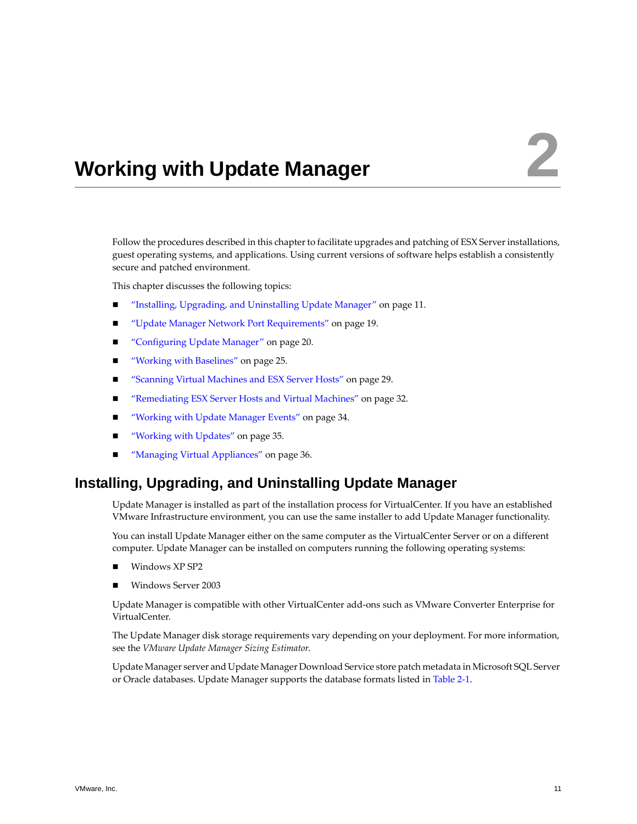# <span id="page-10-1"></span><span id="page-10-0"></span>**Working with Update Manager 2**

Follow the procedures described in this chapter to facilitate upgrades and patching of ESX Server installations, guest operating systems, and applications. Using current versions of software helps establish a consistently secure and patched environment.

This chapter discusses the following topics:

- "Installing, Upgrading, and [Uninstalling](#page-10-2) Update Manager" on page 11.
- "Update Manager Network Port [Requirements"](#page-18-0) on page 19.
- ["Configuring](#page-19-0) Update Manager" on page 20.
- "Working with [Baselines"](#page-24-0) on page 25.
- ["Scanning](#page-28-1) Virtual Machines and ESX Server Hosts" on page 29.
- ["Remediating](#page-31-0) ESX Server Hosts and Virtual Machines" on page 32.
- ["Working](#page-33-1) with Update Manager Events" on page 34.
- ["Working](#page-34-0) with Updates" on page 35.
- <span id="page-10-3"></span>"Managing Virtual [Appliances"](#page-35-0) on page 36.

# <span id="page-10-2"></span>**Installing, Upgrading, and Uninstalling Update Manager**

Update Manager is installed as part of the installation process for VirtualCenter. If you have an established VMware Infrastructure environment, you can use the same installer to add Update Manager functionality.

You can install Update Manager either on the same computer as the VirtualCenter Server or on a different computer. Update Manager can be installed on computers running the following operating systems:

- Windows XP SP2
- Windows Server 2003

Update Manager is compatible with other VirtualCenter add‐ons such as VMware Converter Enterprise for VirtualCenter.

The Update Manager disk storage requirements vary depending on your deployment. For more information, see the *VMware Update Manager Sizing Estimator*.

Update Manager server and Update Manager Download Service store patch metadata in Microsoft SQL Server or Oracle databases. Update Manager supports the database formats listed in [Table 2](#page-11-0)‐1.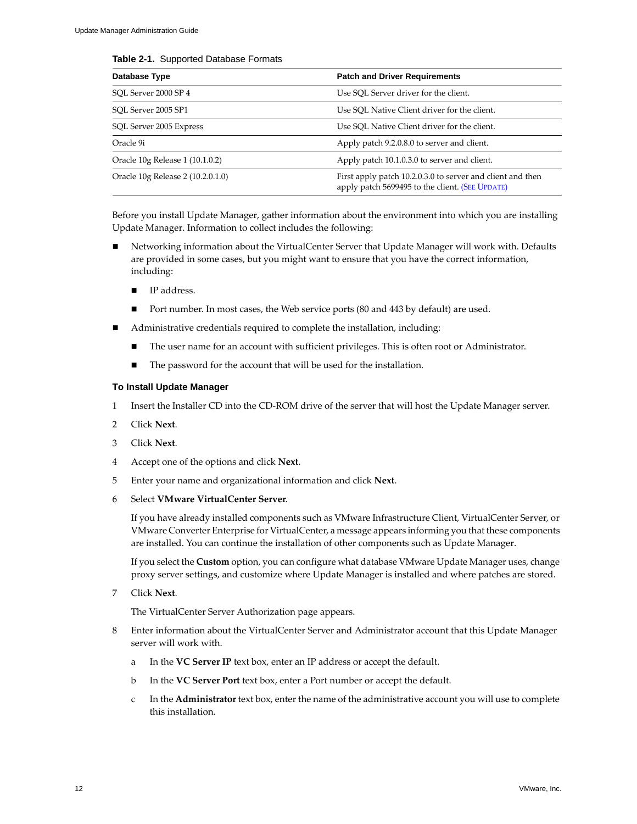### <span id="page-11-3"></span><span id="page-11-0"></span>**Table 2-1.** Supported Database Formats

| Database Type                     | <b>Patch and Driver Requirements</b>                                                                          |
|-----------------------------------|---------------------------------------------------------------------------------------------------------------|
| SOL Server 2000 SP 4              | Use SOL Server driver for the client.                                                                         |
| SOL Server 2005 SP1               | Use SOL Native Client driver for the client.                                                                  |
| SQL Server 2005 Express           | Use SQL Native Client driver for the client.                                                                  |
| Oracle 9i                         | Apply patch 9.2.0.8.0 to server and client.                                                                   |
| Oracle 10g Release 1 (10.1.0.2)   | Apply patch 10.1.0.3.0 to server and client.                                                                  |
| Oracle 10g Release 2 (10.2.0.1.0) | First apply patch 10.2.0.3.0 to server and client and then<br>apply patch 5699495 to the client. (SEE UPDATE) |

<span id="page-11-2"></span>Before you install Update Manager, gather information about the environment into which you are installing Update Manager. Information to collect includes the following:

- Networking information about the VirtualCenter Server that Update Manager will work with. Defaults are provided in some cases, but you might want to ensure that you have the correct information, including:
	- **IP** address.
	- Port number. In most cases, the Web service ports (80 and 443 by default) are used.
- Administrative credentials required to complete the installation, including:
	- The user name for an account with sufficient privileges. This is often root or Administrator.
	- The password for the account that will be used for the installation.

### <span id="page-11-1"></span>**To Install Update Manager**

- 1 Insert the Installer CD into the CD-ROM drive of the server that will host the Update Manager server.
- 2 Click **Next**.
- 3 Click **Next**.
- 4 Accept one of the options and click **Next**.
- 5 Enter your name and organizational information and click **Next**.
- 6 Select **VMware VirtualCenter Server**.

If you have already installed components such as VMware Infrastructure Client, VirtualCenter Server, or VMware Converter Enterprise for VirtualCenter, a message appears informing you that these components are installed. You can continue the installation of other components such as Update Manager.

If you select the **Custom** option, you can configure what database VMware Update Manager uses, change proxy server settings, and customize where Update Manager is installed and where patches are stored.

7 Click **Next**.

The VirtualCenter Server Authorization page appears.

- 8 Enter information about the VirtualCenter Server and Administrator account that this Update Manager server will work with.
	- a In the **VC Server IP** text box, enter an IP address or accept the default.
	- b In the **VC Server Port** text box, enter a Port number or accept the default.
	- c In the **Administrator** text box, enter the name of the administrative account you will use to complete this installation.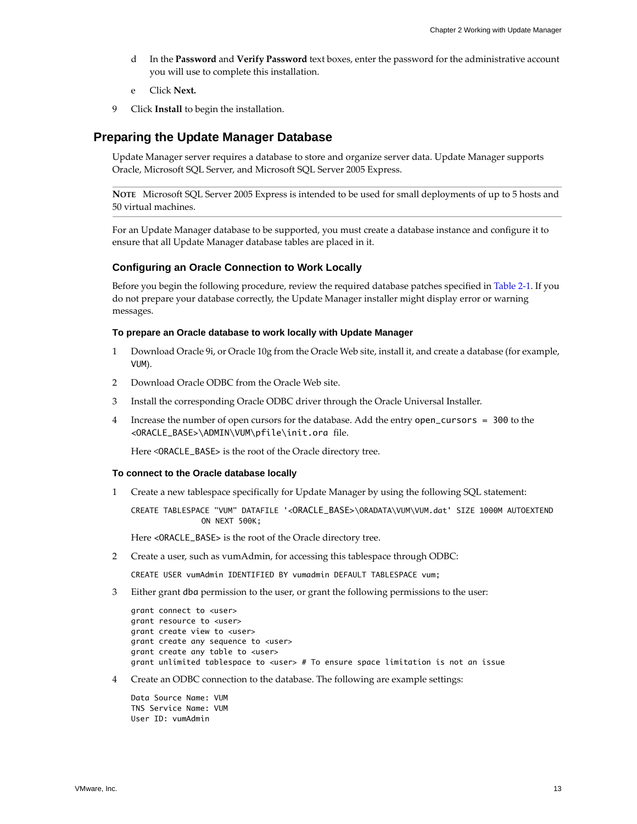- d In the **Password** and **Verify Password** text boxes, enter the password for the administrative account you will use to complete this installation.
- <span id="page-12-3"></span>e Click **Next.**
- 9 Click **Install** to begin the installation.

### <span id="page-12-0"></span>**Preparing the Update Manager Database**

Update Manager server requires a database to store and organize server data. Update Manager supports Oracle, Microsoft SQL Server, and Microsoft SQL Server 2005 Express.

**NOTE** Microsoft SQL Server 2005 Express is intended to be used for small deployments of up to 5 hosts and 50 virtual machines.

For an Update Manager database to be supported, you must create a database instance and configure it to ensure that all Update Manager database tables are placed in it.

### <span id="page-12-2"></span><span id="page-12-1"></span>**Configuring an Oracle Connection to Work Locally**

Before you begin the following procedure, review the required database patches specified in [Table 2](#page-11-0)‐1. If you do not prepare your database correctly, the Update Manager installer might display error or warning messages.

### **To prepare an Oracle database to work locally with Update Manager**

- 1 Download Oracle 9i, or Oracle 10g from the Oracle Web site, install it, and create a database (for example, VUM).
- 2 Download Oracle ODBC from the Oracle Web site.
- 3 Install the corresponding Oracle ODBC driver through the Oracle Universal Installer.
- 4 Increase the number of open cursors for the database. Add the entry open\_cursors = 300 to the <ORACLE\_BASE>\ADMIN\VUM\pfile\init.ora file.

Here <ORACLE\_BASE> is the root of the Oracle directory tree.

#### **To connect to the Oracle database locally**

1 Create a new tablespace specifically for Update Manager by using the following SQL statement:

CREATE TABLESPACE "VUM" DATAFILE '<ORACLE\_BASE>\ORADATA\VUM\VUM.dat' SIZE 1000M AUTOEXTEND ON NEXT 500K;

Here <ORACLE\_BASE> is the root of the Oracle directory tree.

2 Create a user, such as vumAdmin, for accessing this tablespace through ODBC:

CREATE USER vumAdmin IDENTIFIED BY vumadmin DEFAULT TABLESPACE vum;

3 Either grant dba permission to the user, or grant the following permissions to the user:

```
grant connect to <user>
grant resource to <user>
grant create view to <user>
grant create any sequence to <user> 
grant create any table to <user> 
grant unlimited tablespace to <user> # To ensure space limitation is not an issue
```
4 Create an ODBC connection to the database. The following are example settings:

Data Source Name: VUM TNS Service Name: VUM User ID: vumAdmin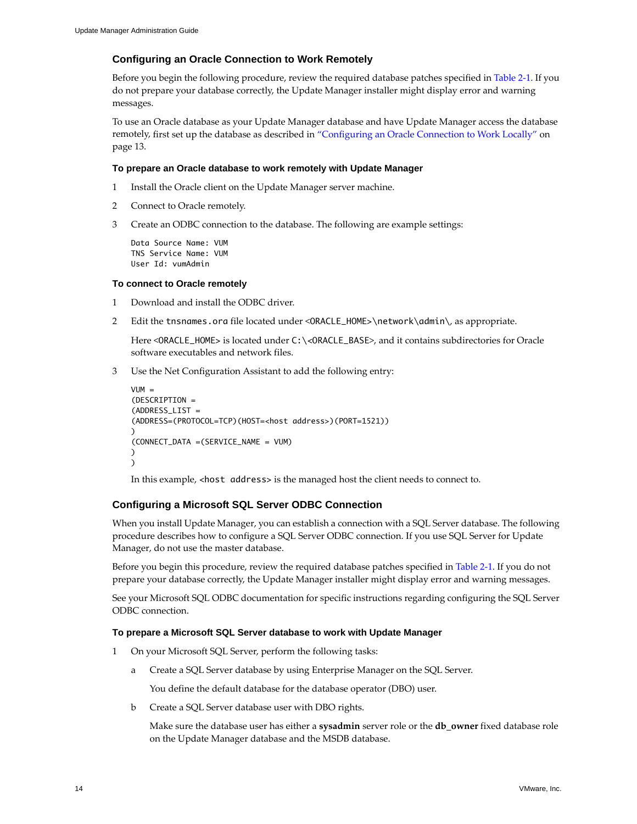### **Configuring an Oracle Connection to Work Remotely**

Before you begin the following procedure, review the required database patches specified in [Table 2](#page-11-0)‐1. If you do not prepare your database correctly, the Update Manager installer might display error and warning messages.

To use an Oracle database as your Update Manager database and have Update Manager access the database remotely, first set up the database as described in ["Configuring](#page-12-1) an Oracle Connection to Work Locally" on [page 13](#page-12-1).

### **To prepare an Oracle database to work remotely with Update Manager**

- 1 Install the Oracle client on the Update Manager server machine.
- 2 Connect to Oracle remotely.
- 3 Create an ODBC connection to the database. The following are example settings:

```
Data Source Name: VUM
TNS Service Name: VUM
User Id: vumAdmin
```
### **To connect to Oracle remotely**

- 1 Download and install the ODBC driver.
- 2 Edit the tnsnames.ora file located under <ORACLE\_HOME>\network\admin\, as appropriate.

Here <ORACLE\_HOME> is located under C:\<ORACLE\_BASE>, and it contains subdirectories for Oracle software executables and network files.

3 Use the Net Configuration Assistant to add the following entry:

```
VUM =(DESCRIPTION =
(ADDRFSS IIST =(ADDRESS=(PROTOCOL=TCP)(HOST=<host address>)(PORT=1521))
\lambda(CONNECT_DATA =(SERVICE_NAME = VUM)
)
\lambda
```
<span id="page-13-1"></span><span id="page-13-0"></span>In this example, <host address> is the managed host the client needs to connect to.

### **Configuring a Microsoft SQL Server ODBC Connection**

When you install Update Manager, you can establish a connection with a SQL Server database. The following procedure describes how to configure a SQL Server ODBC connection. If you use SQL Server for Update Manager, do not use the master database.

Before you begin this procedure, review the required database patches specified in [Table 2](#page-11-0)‐1. If you do not prepare your database correctly, the Update Manager installer might display error and warning messages.

See your Microsoft SQL ODBC documentation for specific instructions regarding configuring the SQL Server ODBC connection.

### **To prepare a Microsoft SQL Server database to work with Update Manager**

- 1 On your Microsoft SQL Server, perform the following tasks:
	- a Create a SQL Server database by using Enterprise Manager on the SQL Server.

You define the default database for the database operator (DBO) user.

b Create a SQL Server database user with DBO rights.

Make sure the database user has either a **sysadmin** server role or the **db\_owner** fixed database role on the Update Manager database and the MSDB database.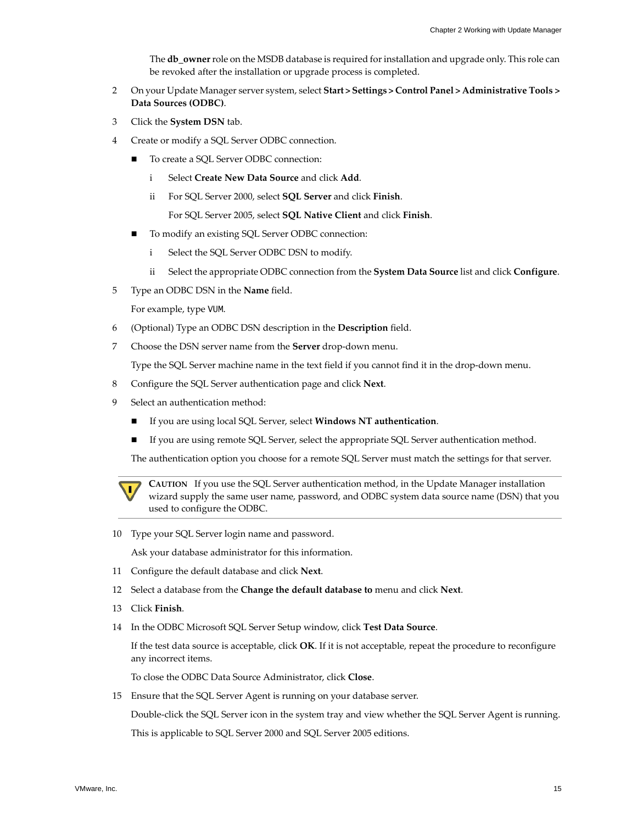The **db** owner role on the MSDB database is required for installation and upgrade only. This role can be revoked after the installation or upgrade process is completed.

- 2 On your Update Manager server system, select **Start > Settings > Control Panel > Administrative Tools > Data Sources (ODBC)**.
- 3 Click the **System DSN** tab.
- 4 Create or modify a SQL Server ODBC connection.
	- To create a SQL Server ODBC connection:
		- i Select **Create New Data Source** and click **Add**.
		- ii For SQL Server 2000, select **SQL Server** and click **Finish**.

For SQL Server 2005, select **SQL Native Client** and click **Finish**.

- To modify an existing SQL Server ODBC connection:
	- i Select the SQL Server ODBC DSN to modify.
	- ii Select the appropriate ODBC connection from the **System Data Source** list and click **Configure**.
- 5 Type an ODBC DSN in the **Name** field.

For example, type VUM.

- 6 (Optional) Type an ODBC DSN description in the **Description** field.
- 7 Choose the DSN server name from the **Server** drop‐down menu.

Type the SQL Server machine name in the text field if you cannot find it in the drop-down menu.

- 8 Configure the SQL Server authentication page and click **Next**.
- 9 Select an authentication method:
	- If you are using local SQL Server, select **Windows NT authentication**.
	- If you are using remote SQL Server, select the appropriate SQL Server authentication method.

The authentication option you choose for a remote SQL Server must match the settings for that server.



**CAUTION** If you use the SQL Server authentication method, in the Update Manager installation wizard supply the same user name, password, and ODBC system data source name (DSN) that you used to configure the ODBC.

10 Type your SQL Server login name and password.

Ask your database administrator for this information.

- 11 Configure the default database and click **Next**.
- 12 Select a database from the **Change the default database to** menu and click **Next**.
- 13 Click **Finish**.
- 14 In the ODBC Microsoft SQL Server Setup window, click **Test Data Source**.

If the test data source is acceptable, click **OK**. If it is not acceptable, repeat the procedure to reconfigure any incorrect items.

To close the ODBC Data Source Administrator, click **Close**.

15 Ensure that the SQL Server Agent is running on your database server.

Double‐click the SQL Server icon in the system tray and view whether the SQL Server Agent is running.

This is applicable to SQL Server 2000 and SQL Server 2005 editions.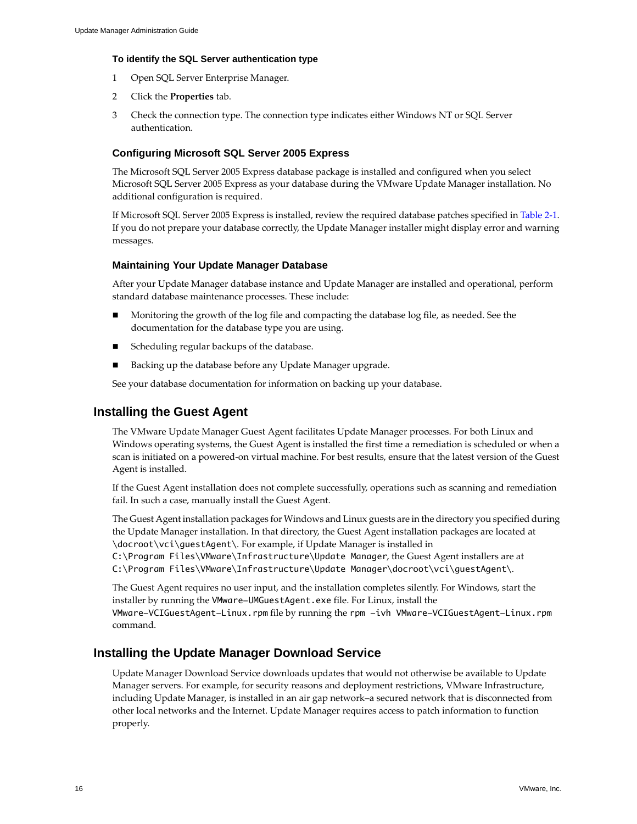### **To identify the SQL Server authentication type**

- 1 Open SQL Server Enterprise Manager.
- 2 Click the **Properties** tab.
- 3 Check the connection type. The connection type indicates either Windows NT or SQL Server authentication.

### **Configuring Microsoft SQL Server 2005 Express**

The Microsoft SQL Server 2005 Express database package is installed and configured when you select Microsoft SQL Server 2005 Express as your database during the VMware Update Manager installation. No additional configuration is required.

<span id="page-15-3"></span>If Microsoft SQL Server 2005 Express is installed, review the required database patches specified in [Table 2](#page-11-0)‐1. If you do not prepare your database correctly, the Update Manager installer might display error and warning messages.

### **Maintaining Your Update Manager Database**

After your Update Manager database instance and Update Manager are installed and operational, perform standard database maintenance processes. These include:

- Monitoring the growth of the log file and compacting the database log file, as needed. See the documentation for the database type you are using.
- Scheduling regular backups of the database.
- Backing up the database before any Update Manager upgrade.

<span id="page-15-4"></span>See your database documentation for information on backing up your database.

### <span id="page-15-2"></span><span id="page-15-0"></span>**Installing the Guest Agent**

The VMware Update Manager Guest Agent facilitates Update Manager processes. For both Linux and Windows operating systems, the Guest Agent is installed the first time a remediation is scheduled or when a scan is initiated on a powered‐on virtual machine. For best results, ensure that the latest version of the Guest Agent is installed.

If the Guest Agent installation does not complete successfully, operations such as scanning and remediation fail. In such a case, manually install the Guest Agent.

The Guest Agent installation packages for Windows and Linux guests are in the directory you specified during the Update Manager installation. In that directory, the Guest Agent installation packages are located at \docroot\vci\guestAgent\. For example, if Update Manager is installed in

C:\Program Files\VMware\Infrastructure\Update Manager, the Guest Agent installers are at C:\Program Files\VMware\Infrastructure\Update Manager\docroot\vci\guestAgent\.

The Guest Agent requires no user input, and the installation completes silently. For Windows, start the installer by running the VMware-UMGuestAgent.exe file. For Linux, install the

VMware-VCIGuestAgent-Linux.rpm file by running the rpm -ivh VMware-VCIGuestAgent-Linux.rpm command.

### <span id="page-15-1"></span>**Installing the Update Manager Download Service**

<span id="page-15-5"></span>Update Manager Download Service downloads updates that would not otherwise be available to Update Manager servers. For example, for security reasons and deployment restrictions, VMware Infrastructure, including Update Manager, is installed in an air gap network–a secured network that is disconnected from other local networks and the Internet. Update Manager requires access to patch information to function properly.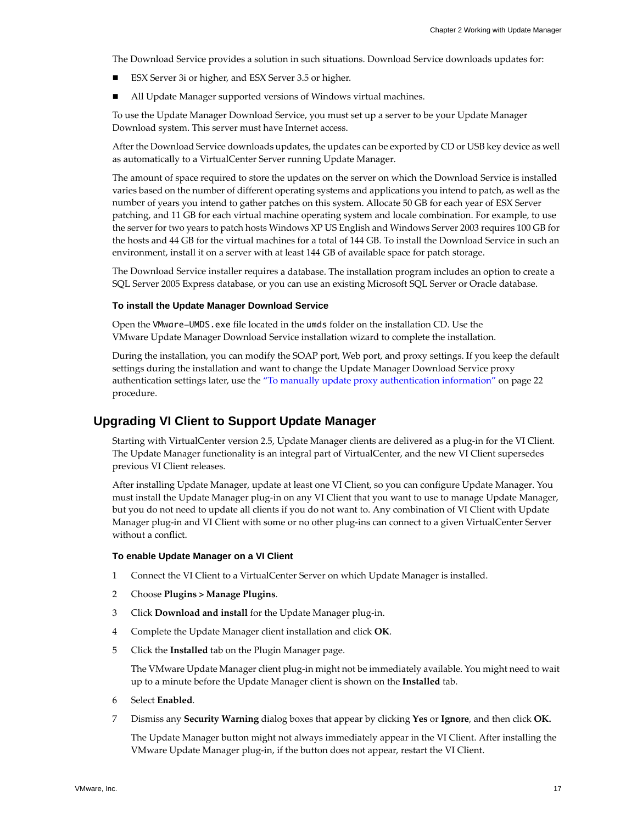The Download Service provides a solution in such situations. Download Service downloads updates for:

- ESX Server 3i or higher, and ESX Server 3.5 or higher.
- All Update Manager supported versions of Windows virtual machines.

To use the Update Manager Download Service, you must set up a server to be your Update Manager Download system. This server must have Internet access.

After the Download Service downloads updates, the updates can be exported by CD or USB key device as well as automatically to a VirtualCenter Server running Update Manager.

The amount of space required to store the updates on the server on which the Download Service is installed varies based on the number of different operating systems and applications you intend to patch, as well as the number of years you intend to gather patches on this system. Allocate 50 GB for each year of ESX Server patching, and 11 GB for each virtual machine operating system and locale combination. For example, to use the server for two years to patch hosts Windows XP US English and Windows Server 2003 requires 100 GB for the hosts and 44 GB for the virtual machines for a total of 144 GB. To install the Download Service in such an environment, install it on a server with at least 144 GB of available space for patch storage.

The Download Service installer requires a database. The installation program includes an option to create a SQL Server 2005 Express database, or you can use an existing Microsoft SQL Server or Oracle database.

### **To install the Update Manager Download Service**

Open the VMware-UMDS.exe file located in the umds folder on the installation CD. Use the VMware Update Manager Download Service installation wizard to complete the installation.

During the installation, you can modify the SOAP port, Web port, and proxy settings. If you keep the default settings during the installation and want to change the Update Manager Download Service proxy authentication settings later, use the "To manually update proxy [authentication](#page-21-3) information" on page 22 procedure.

### <span id="page-16-0"></span>**Upgrading VI Client to Support Update Manager**

<span id="page-16-1"></span>Starting with VirtualCenter version 2.5, Update Manager clients are delivered as a plug-in for the VI Client. The Update Manager functionality is an integral part of VirtualCenter, and the new VI Client supersedes previous VI Client releases.

After installing Update Manager, update at least one VI Client, so you can configure Update Manager. You must install the Update Manager plug‐in on any VI Client that you want to use to manage Update Manager, but you do not need to update all clients if you do not want to. Any combination of VI Client with Update Manager plug‐in and VI Client with some or no other plug‐ins can connect to a given VirtualCenter Server without a conflict.

### **To enable Update Manager on a VI Client**

- 1 Connect the VI Client to a VirtualCenter Server on which Update Manager is installed.
- 2 Choose **Plugins > Manage Plugins**.
- 3 Click **Download and install** for the Update Manager plug‐in.
- 4 Complete the Update Manager client installation and click **OK**.
- 5 Click the **Installed** tab on the Plugin Manager page.

The VMware Update Manager client plug‐in might not be immediately available. You might need to wait up to a minute before the Update Manager client is shown on the **Installed** tab.

- 6 Select **Enabled**.
- 7 Dismiss any **Security Warning** dialog boxes that appear by clicking **Yes** or **Ignore**, and then click **OK.**

The Update Manager button might not always immediately appear in the VI Client. After installing the VMware Update Manager plug‐in, if the button does not appear, restart the VI Client.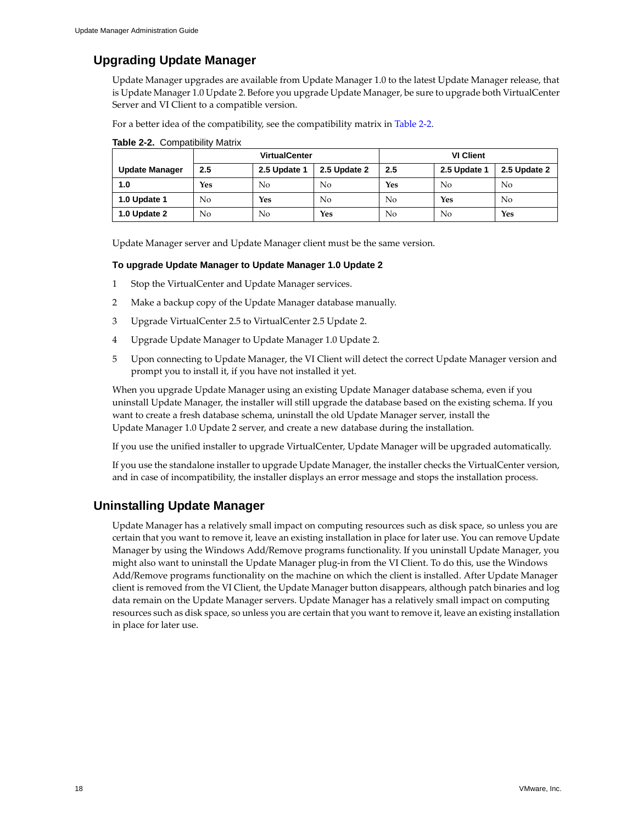# <span id="page-17-0"></span>**Upgrading Update Manager**

Update Manager upgrades are available from Update Manager 1.0 to the latest Update Manager release, that is Update Manager 1.0 Update 2. Before you upgrade Update Manager, be sure to upgrade both VirtualCenter Server and VI Client to a compatible version.

For a better idea of the compatibility, see the compatibility matrix in [Table 2](#page-17-2)‐2.

|                       | <b>VirtualCenter</b> |              |              | <b>VI Client</b> |              |              |
|-----------------------|----------------------|--------------|--------------|------------------|--------------|--------------|
| <b>Update Manager</b> | 2.5                  | 2.5 Update 1 | 2.5 Update 2 | 2.5              | 2.5 Update 1 | 2.5 Update 2 |
| 1.0                   | <b>Yes</b>           | No           | No           | <b>Yes</b>       | No           | No           |
| 1.0 Update 1          | No                   | Yes          | No           | No               | Yes          | No           |
| 1.0 Update 2          | No                   | No           | Yes          | No               | No.          | Yes          |

<span id="page-17-2"></span>

| <b>Table 2-2.</b> Compatibility Matrix |
|----------------------------------------|
|                                        |

Update Manager server and Update Manager client must be the same version.

### **To upgrade Update Manager to Update Manager 1.0 Update 2**

- 1 Stop the VirtualCenter and Update Manager services.
- 2 Make a backup copy of the Update Manager database manually.
- 3 Upgrade VirtualCenter 2.5 to VirtualCenter 2.5 Update 2.
- 4 Upgrade Update Manager to Update Manager 1.0 Update 2.
- 5 Upon connecting to Update Manager, the VI Client will detect the correct Update Manager version and prompt you to install it, if you have not installed it yet.

When you upgrade Update Manager using an existing Update Manager database schema, even if you uninstall Update Manager, the installer will still upgrade the database based on the existing schema. If you want to create a fresh database schema, uninstall the old Update Manager server, install the Update Manager 1.0 Update 2 server, and create a new database during the installation.

If you use the unified installer to upgrade VirtualCenter, Update Manager will be upgraded automatically.

<span id="page-17-3"></span>If you use the standalone installer to upgrade Update Manager, the installer checks the VirtualCenter version, and in case of incompatibility, the installer displays an error message and stops the installation process.

# <span id="page-17-1"></span>**Uninstalling Update Manager**

Update Manager has a relatively small impact on computing resources such as disk space, so unless you are certain that you want to remove it, leave an existing installation in place for later use. You can remove Update Manager by using the Windows Add/Remove programs functionality. If you uninstall Update Manager, you might also want to uninstall the Update Manager plug‐in from the VI Client. To do this, use the Windows Add/Remove programs functionality on the machine on which the client is installed. After Update Manager client is removed from the VI Client, the Update Manager button disappears, although patch binaries and log data remain on the Update Manager servers. Update Manager has a relatively small impact on computing resources such as disk space, so unless you are certain that you want to remove it, leave an existing installation in place for later use.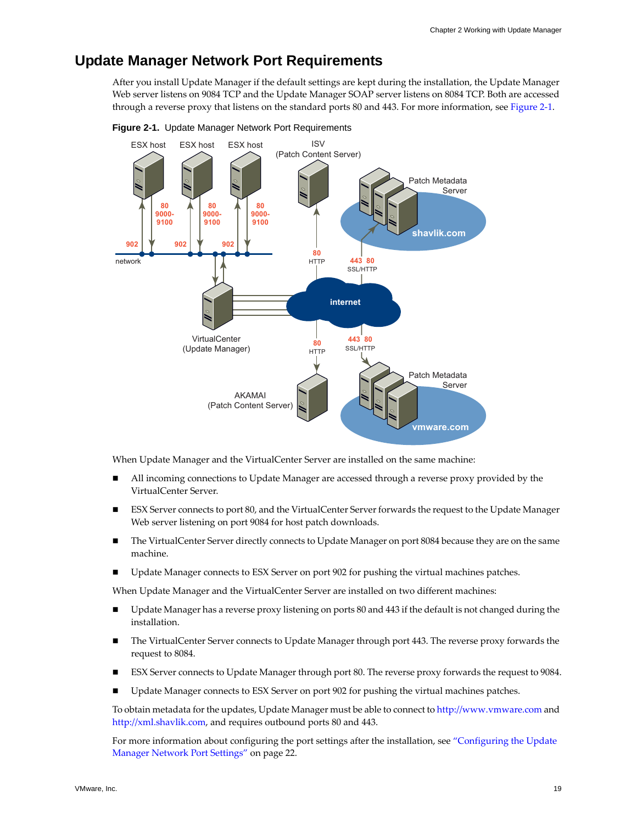# <span id="page-18-2"></span><span id="page-18-0"></span>**Update Manager Network Port Requirements**

<span id="page-18-3"></span>After you install Update Manager if the default settings are kept during the installation, the Update Manager Web server listens on 9084 TCP and the Update Manager SOAP server listens on 8084 TCP. Both are accessed through a reverse proxy that listens on the standard ports 80 and 443. For more information, see [Figure 2](#page-18-1)‐1.



<span id="page-18-1"></span>**Figure 2-1.** Update Manager Network Port Requirements

When Update Manager and the VirtualCenter Server are installed on the same machine:

- All incoming connections to Update Manager are accessed through a reverse proxy provided by the VirtualCenter Server.
- ESX Server connects to port 80, and the VirtualCenter Server forwards the request to the Update Manager Web server listening on port 9084 for host patch downloads.
- The VirtualCenter Server directly connects to Update Manager on port 8084 because they are on the same machine.
- Update Manager connects to ESX Server on port 902 for pushing the virtual machines patches.

When Update Manager and the VirtualCenter Server are installed on two different machines:

- Update Manager has a reverse proxy listening on ports 80 and 443 if the default is not changed during the installation.
- The VirtualCenter Server connects to Update Manager through port 443. The reverse proxy forwards the request to 8084.
- ESX Server connects to Update Manager through port 80. The reverse proxy forwards the request to 9084.
- Update Manager connects to ESX Server on port 902 for pushing the virtual machines patches.

To obtain metadata for the updates, Update Manager must be able to connect to <http://www.vmware.com> and [http://xml.shavlik.com,](http://xml.shavlik.com) and requires outbound ports 80 and 443.

For more information about configuring the port settings after the installation, see ["Configuring](#page-21-1) the Update Manager Network Port [Settings"](#page-21-1) on page 22.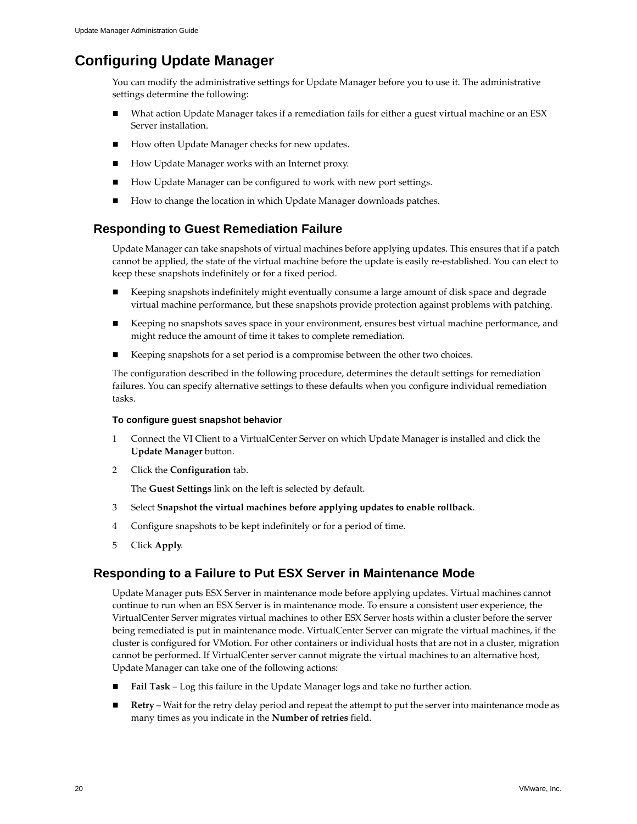# <span id="page-19-3"></span><span id="page-19-0"></span>**Configuring Update Manager**

<span id="page-19-4"></span>You can modify the administrative settings for Update Manager before you to use it. The administrative settings determine the following:

- What action Update Manager takes if a remediation fails for either a guest virtual machine or an ESX Server installation.
- How often Update Manager checks for new updates.
- How Update Manager works with an Internet proxy.
- How Update Manager can be configured to work with new port settings.
- <span id="page-19-6"></span>How to change the location in which Update Manager downloads patches.

# <span id="page-19-1"></span>**Responding to Guest Remediation Failure**

Update Manager can take snapshots of virtual machines before applying updates. This ensures that if a patch cannot be applied, the state of the virtual machine before the update is easily re‐established. You can elect to keep these snapshots indefinitely or for a fixed period.

- Keeping snapshots indefinitely might eventually consume a large amount of disk space and degrade virtual machine performance, but these snapshots provide protection against problems with patching.
- Keeping no snapshots saves space in your environment, ensures best virtual machine performance, and might reduce the amount of time it takes to complete remediation.
- Keeping snapshots for a set period is a compromise between the other two choices.

The configuration described in the following procedure, determines the default settings for remediation failures. You can specify alternative settings to these defaults when you configure individual remediation tasks.

### **To configure guest snapshot behavior**

- 1 Connect the VI Client to a VirtualCenter Server on which Update Manager is installed and click the **Update Manager** button.
- 2 Click the **Configuration** tab.

<span id="page-19-5"></span>The **Guest Settings** link on the left is selected by default.

- 3 Select **Snapshot the virtual machines before applying updates to enable rollback**.
- 4 Configure snapshots to be kept indefinitely or for a period of time.
- 5 Click **Apply**.

# <span id="page-19-2"></span>**Responding to a Failure to Put ESX Server in Maintenance Mode**

Update Manager puts ESX Server in maintenance mode before applying updates. Virtual machines cannot continue to run when an ESX Server is in maintenance mode. To ensure a consistent user experience, the VirtualCenter Server migrates virtual machines to other ESX Server hosts within a cluster before the server being remediated is put in maintenance mode. VirtualCenter Server can migrate the virtual machines, if the cluster is configured for VMotion. For other containers or individual hosts that are not in a cluster, migration cannot be performed. If VirtualCenter server cannot migrate the virtual machines to an alternative host, Update Manager can take one of the following actions:

- **Fail Task** Log this failure in the Update Manager logs and take no further action.
- **Retry** Wait for the retry delay period and repeat the attempt to put the server into maintenance mode as many times as you indicate in the **Number of retries** field.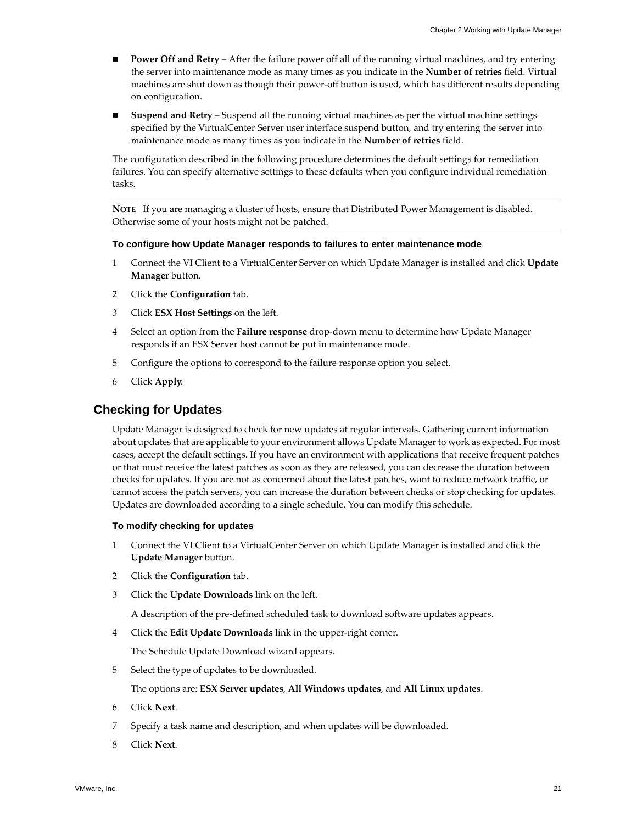- **Power Off and Retry** After the failure power off all of the running virtual machines, and try entering the server into maintenance mode as many times as you indicate in the **Number of retries** field. Virtual machines are shut down as though their power‐off button is used, which has different results depending on configuration.
- **Suspend and Retry** Suspend all the running virtual machines as per the virtual machine settings specified by the VirtualCenter Server user interface suspend button, and try entering the server into maintenance mode as many times as you indicate in the **Number of retries** field.

The configuration described in the following procedure determines the default settings for remediation failures. You can specify alternative settings to these defaults when you configure individual remediation tasks.

**NOTE** If you are managing a cluster of hosts, ensure that Distributed Power Management is disabled. Otherwise some of your hosts might not be patched.

### **To configure how Update Manager responds to failures to enter maintenance mode**

- 1 Connect the VI Client to a VirtualCenter Server on which Update Manager is installed and click **Update Manager** button.
- 2 Click the **Configuration** tab.
- 3 Click **ESX Host Settings** on the left.
- 4 Select an option from the **Failure response** drop‐down menu to determine how Update Manager responds if an ESX Server host cannot be put in maintenance mode.
- 5 Configure the options to correspond to the failure response option you select.
- 6 Click **Apply**.

### <span id="page-20-1"></span><span id="page-20-0"></span>**Checking for Updates**

Update Manager is designed to check for new updates at regular intervals. Gathering current information about updates that are applicable to your environment allows Update Manager to work as expected. For most cases, accept the default settings. If you have an environment with applications that receive frequent patches or that must receive the latest patches as soon as they are released, you can decrease the duration between checks for updates. If you are not as concerned about the latest patches, want to reduce network traffic, or cannot access the patch servers, you can increase the duration between checks or stop checking for updates. Updates are downloaded according to a single schedule. You can modify this schedule.

### **To modify checking for updates**

- 1 Connect the VI Client to a VirtualCenter Server on which Update Manager is installed and click the **Update Manager** button.
- 2 Click the **Configuration** tab.
- 3 Click the **Update Downloads** link on the left.

A description of the pre‐defined scheduled task to download software updates appears.

4 Click the **Edit Update Downloads** link in the upper‐right corner.

The Schedule Update Download wizard appears.

5 Select the type of updates to be downloaded.

### The options are: **ESX Server updates**, **All Windows updates**, and **All Linux updates**.

- 6 Click **Next**.
- 7 Specify a task name and description, and when updates will be downloaded.
- 8 Click **Next**.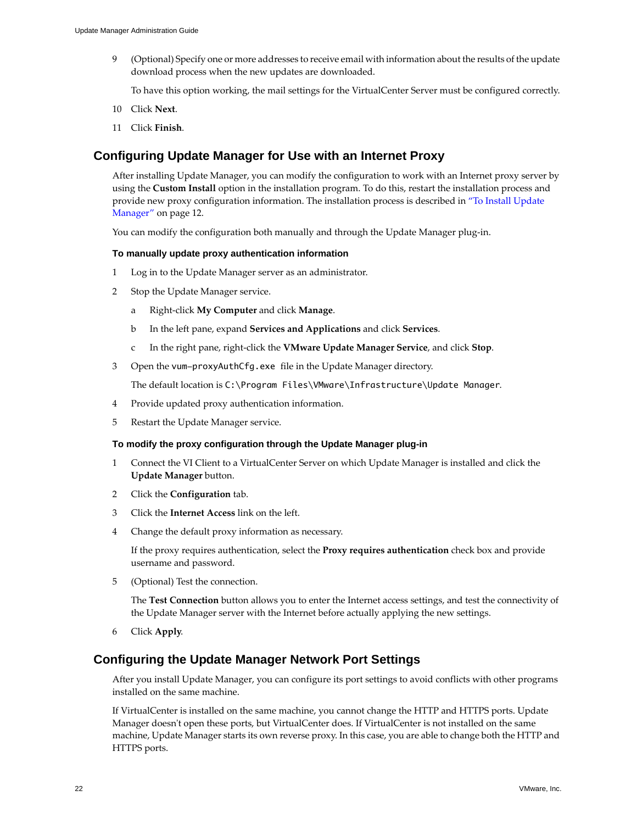9 (Optional) Specify one or more addresses to receive email with information about the results of the update download process when the new updates are downloaded.

<span id="page-21-6"></span>To have this option working, the mail settings for the VirtualCenter Server must be configured correctly.

- 10 Click **Next**.
- 11 Click **Finish**.

## <span id="page-21-2"></span><span id="page-21-0"></span>**Configuring Update Manager for Use with an Internet Proxy**

After installing Update Manager, you can modify the configuration to work with an Internet proxy server by using the **Custom Install** option in the installation program. To do this, restart the installation process and provide new proxy configuration information. The installation process is described in "To Install [Update](#page-11-1) [Manager"](#page-11-1) on page 12.

You can modify the configuration both manually and through the Update Manager plug-in.

### <span id="page-21-3"></span>**To manually update proxy authentication information**

- 1 Log in to the Update Manager server as an administrator.
- 2 Stop the Update Manager service.
	- a Right‐click **My Computer** and click **Manage**.
	- b In the left pane, expand **Services and Applications** and click **Services**.
	- c In the right pane, right‐click the **VMware Update Manager Service**, and click **Stop**.
- 3 Open the vum-proxyAuthCfg.exe file in the Update Manager directory.

The default location is C:\Program Files\VMware\Infrastructure\Update Manager.

- 4 Provide updated proxy authentication information.
- 5 Restart the Update Manager service.

### **To modify the proxy configuration through the Update Manager plug-in**

- 1 Connect the VI Client to a VirtualCenter Server on which Update Manager is installed and click the **Update Manager** button.
- 2 Click the **Configuration** tab.
- 3 Click the **Internet Access** link on the left.
- 4 Change the default proxy information as necessary.

If the proxy requires authentication, select the **Proxy requires authentication** check box and provide username and password.

5 (Optional) Test the connection.

<span id="page-21-5"></span>The **Test Connection** button allows you to enter the Internet access settings, and test the connectivity of the Update Manager server with the Internet before actually applying the new settings.

6 Click **Apply**.

### <span id="page-21-4"></span><span id="page-21-1"></span>**Configuring the Update Manager Network Port Settings**

After you install Update Manager, you can configure its port settings to avoid conflicts with other programs installed on the same machine.

If VirtualCenter is installed on the same machine, you cannot change the HTTP and HTTPS ports. Update Manager doesn't open these ports, but VirtualCenter does. If VirtualCenter is not installed on the same machine, Update Manager starts its own reverse proxy. In this case, you are able to change both the HTTP and HTTPS ports.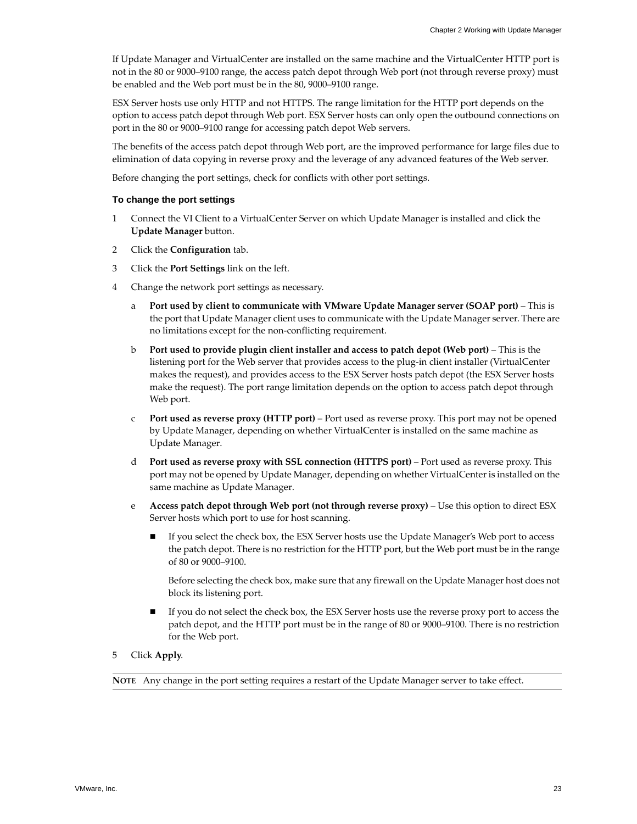If Update Manager and VirtualCenter are installed on the same machine and the VirtualCenter HTTP port is not in the 80 or 9000–9100 range, the access patch depot through Web port (not through reverse proxy) must be enabled and the Web port must be in the 80, 9000–9100 range.

ESX Server hosts use only HTTP and not HTTPS. The range limitation for the HTTP port depends on the option to access patch depot through Web port. ESX Server hosts can only open the outbound connections on port in the 80 or 9000–9100 range for accessing patch depot Web servers.

The benefits of the access patch depot through Web port, are the improved performance for large files due to elimination of data copying in reverse proxy and the leverage of any advanced features of the Web server.

Before changing the port settings, check for conflicts with other port settings.

### **To change the port settings**

- 1 Connect the VI Client to a VirtualCenter Server on which Update Manager is installed and click the **Update Manager** button.
- 2 Click the **Configuration** tab.
- 3 Click the **Port Settings** link on the left.
- 4 Change the network port settings as necessary.
	- a **Port used by client to communicate with VMware Update Manager server (SOAP port)** This is the port that Update Manager client uses to communicate with the Update Manager server. There are no limitations except for the non‐conflicting requirement.
	- b **Port used to provide plugin client installer and access to patch depot (Web port)** This is the listening port for the Web server that provides access to the plug-in client installer (VirtualCenter makes the request), and provides access to the ESX Server hosts patch depot (the ESX Server hosts make the request). The port range limitation depends on the option to access patch depot through Web port.
	- c **Port used as reverse proxy (HTTP port)** Port used as reverse proxy. This port may not be opened by Update Manager, depending on whether VirtualCenter is installed on the same machine as Update Manager.
	- d **Port used as reverse proxy with SSL connection (HTTPS port)** Port used as reverse proxy. This port may not be opened by Update Manager, depending on whether VirtualCenteris installed on the same machine as Update Manager.
	- e **Access patch depot through Web port (not through reverse proxy)** Use this option to direct ESX Server hosts which port to use for host scanning.
		- If you select the check box, the ESX Server hosts use the Update Manager's Web port to access the patch depot. There is no restriction for the HTTP port, but the Web port must be in the range of 80 or 9000–9100.

Before selecting the check box, make sure that any firewall on the Update Manager host does not block its listening port.

- If you do not select the check box, the ESX Server hosts use the reverse proxy port to access the patch depot, and the HTTP port must be in the range of 80 or 9000–9100. There is no restriction for the Web port.
- 5 Click **Apply**.

**NOTE** Any change in the port setting requires a restart of the Update Manager server to take effect.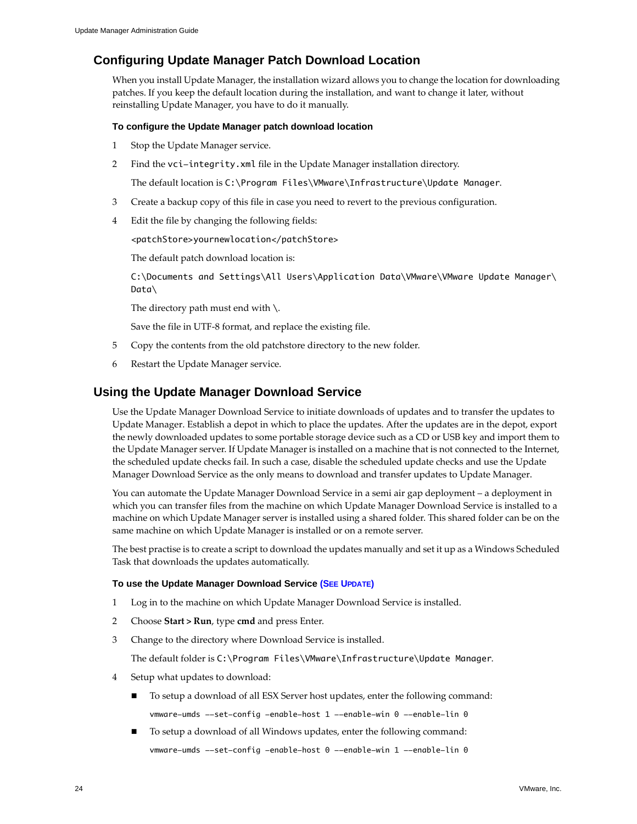# <span id="page-23-0"></span>**Configuring Update Manager Patch Download Location**

When you install Update Manager, the installation wizard allows you to change the location for downloading patches. If you keep the default location during the installation, and want to change it later, without reinstalling Update Manager, you have to do it manually.

### **To configure the Update Manager patch download location**

- 1 Stop the Update Manager service.
- 2 Find the vci-integrity.xml file in the Update Manager installation directory.

The default location is C:\Program Files\VMware\Infrastructure\Update Manager.

- 3 Create a backup copy of this file in case you need to revert to the previous configuration.
- 4 Edit the file by changing the following fields:

<patchStore>yournewlocation</patchStore>

The default patch download location is:

C:\Documents and Settings\All Users\Application Data\VMware\VMware Update Manager\ Data\

The directory path must end with  $\setminus$ .

<span id="page-23-5"></span>Save the file in UTF-8 format, and replace the existing file.

- 5 Copy the contents from the old patchstore directory to the new folder.
- 6 Restart the Update Manager service.

# <span id="page-23-1"></span>**Using the Update Manager Download Service**

Use the Update Manager Download Service to initiate downloads of updates and to transfer the updates to Update Manager. Establish a depot in which to place the updates. After the updates are in the depot, export the newly downloaded updates to some portable storage device such as a CD or USB key and import them to the Update Manager server. If Update Manager is installed on a machine that is not connected to the Internet, the scheduled update checks fail. In such a case, disable the scheduled update checks and use the Update Manager Download Service as the only means to download and transfer updates to Update Manager.

You can automate the Update Manager Download Service in a semi air gap deployment – a deployment in which you can transfer files from the machine on which Update Manager Download Service is installed to a machine on which Update Manager server is installed using a shared folder. This shared folder can be on the same machine on which Update Manager is installed or on a remote server.

The best practise is to create a script to download the updates manually and set it up as a Windows Scheduled Task that downloads the updates automatically.

### <span id="page-23-6"></span>**To use the Update Manager Download Service [\(SEE UPDATE\)](#page-50-1)**

- <span id="page-23-3"></span>1 Log in to the machine on which Update Manager Download Service is installed.
- <span id="page-23-2"></span>2 Choose **Start > Run**, type **cmd** and press Enter.
- <span id="page-23-4"></span>3 Change to the directory where Download Service is installed.

The default folder is C:\Program Files\VMware\Infrastructure\Update Manager.

- 4 Setup what updates to download:
	- To setup a download of all ESX Server host updates, enter the following command: vmware-umds --set-config -enable-host 1 --enable-win 0 --enable-lin 0
	- To setup a download of all Windows updates, enter the following command: vmware-umds --set-config -enable-host 0 --enable-win 1 --enable-lin 0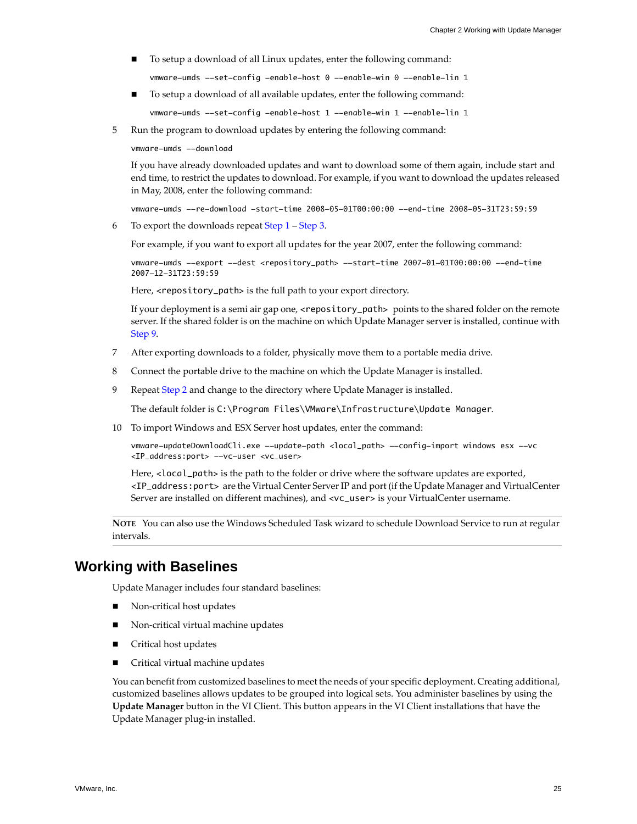To setup a download of all Linux updates, enter the following command:

vmware-umds --set-config -enable-host 0 --enable-win 0 --enable-lin 1

To setup a download of all available updates, enter the following command:

vmware-umds --set-config -enable-host 1 --enable-win 1 --enable-lin 1

5 Run the program to download updates by entering the following command:

vmware-umds --download

If you have already downloaded updates and want to download some of them again, include start and end time, to restrict the updates to download. For example, if you want to download the updates released in May, 2008, enter the following command:

vmware-umds --re-download -start-time 2008-05-01T00:00:00 --end-time 2008-05-31T23:59:59

6 To export the downloads repeat [Step 1](#page-23-3) – [Step 3.](#page-23-4)

For example, if you want to export all updates for the year 2007, enter the following command:

vmware-umds --export --dest <repository\_path> --start-time 2007-01-01T00:00:00 --end-time 2007-12-31T23:59:59

Here, <repository\_path> is the full path to your export directory.

If your deployment is a semi air gap one, <repository\_path> points to the shared folder on the remote server. If the shared folder is on the machine on which Update Manager server is installed, continue with [Step 9](#page-24-1).

- 7 After exporting downloads to a folder, physically move them to a portable media drive.
- 8 Connect the portable drive to the machine on which the Update Manager is installed.
- <span id="page-24-1"></span>9 Repeat [Step 2](#page-23-2) and change to the directory where Update Manager is installed.

The default folder is C:\Program Files\VMware\Infrastructure\Update Manager.

10 To import Windows and ESX Server host updates, enter the command:

vmware-updateDownloadCli.exe --update-path <local\_path> --config-import windows esx --vc <IP\_address:port> --vc-user <vc\_user>

Here, <local\_path> is the path to the folder or drive where the software updates are exported, <IP\_address:port> are the Virtual Center ServerIP and port (if the Update Manager and VirtualCenter Server are installed on different machines), and <vc\_user> is your VirtualCenter username.

<span id="page-24-2"></span>**NOTE** You can also use the Windows Scheduled Task wizard to schedule Download Service to run at regular intervals.

# <span id="page-24-0"></span>**Working with Baselines**

Update Manager includes four standard baselines:

- Non‐critical host updates
- Non‐critical virtual machine updates
- Critical host updates
- Critical virtual machine updates

You can benefit from customized baselines to meet the needs of your specific deployment. Creating additional, customized baselines allows updates to be grouped into logical sets. You administer baselines by using the **Update Manager** button in the VI Client. This button appears in the VI Client installations that have the Update Manager plug‐in installed.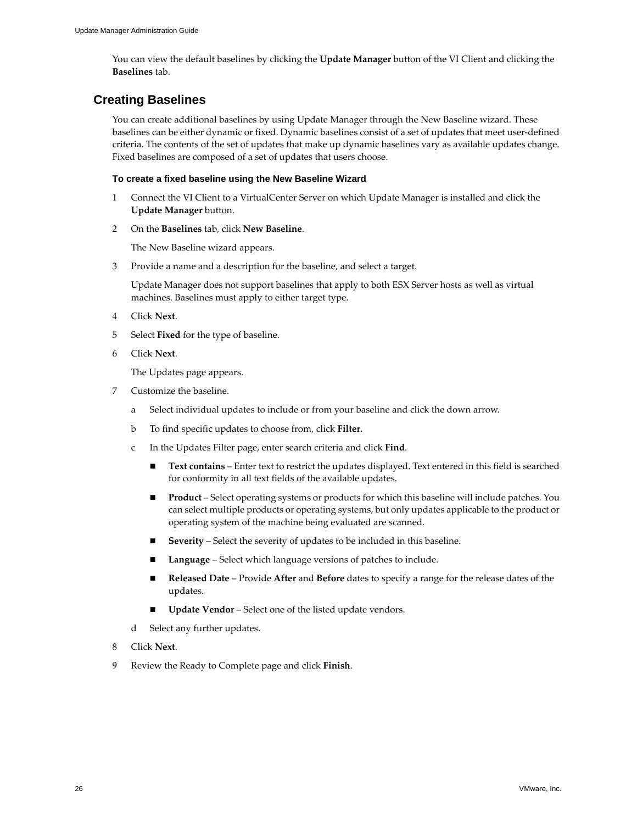<span id="page-25-1"></span>You can view the default baselines by clicking the **Update Manager** button of the VI Client and clicking the **Baselines** tab.

# <span id="page-25-0"></span>**Creating Baselines**

You can create additional baselines by using Update Manager through the New Baseline wizard. These baselines can be either dynamic or fixed. Dynamic baselines consist of a set of updates that meet user‐defined criteria. The contents of the set of updates that make up dynamic baselines vary as available updates change. Fixed baselines are composed of a set of updates that users choose.

### **To create a fixed baseline using the New Baseline Wizard**

- 1 Connect the VI Client to a VirtualCenter Server on which Update Manager is installed and click the **Update Manager** button.
- 2 On the **Baselines** tab, click **New Baseline**.

The New Baseline wizard appears.

3 Provide a name and a description for the baseline, and select a target.

Update Manager does not support baselines that apply to both ESX Server hosts as well as virtual machines. Baselines must apply to either target type.

- 4 Click **Next**.
- 5 Select **Fixed** for the type of baseline.
- 6 Click **Next**.

The Updates page appears.

- 7 Customize the baseline.
	- a Select individual updates to include or from your baseline and click the down arrow.
	- b To find specific updates to choose from, click **Filter.**
	- c In the Updates Filter page, enter search criteria and click **Find**.
		- **Text contains** Enter text to restrict the updates displayed. Text entered in this field is searched for conformity in all text fields of the available updates.
		- **Product** Select operating systems or products for which this baseline will include patches. You can select multiple products or operating systems, but only updates applicable to the product or operating system of the machine being evaluated are scanned.
		- **Severity** Select the severity of updates to be included in this baseline.
		- **Language** Select which language versions of patches to include.
		- **Released Date** Provide **After** and **Before** dates to specify a range for the release dates of the updates.
		- **Update Vendor** Select one of the listed update vendors.
	- d Select any further updates.
- 8 Click **Next**.
- 9 Review the Ready to Complete page and click **Finish**.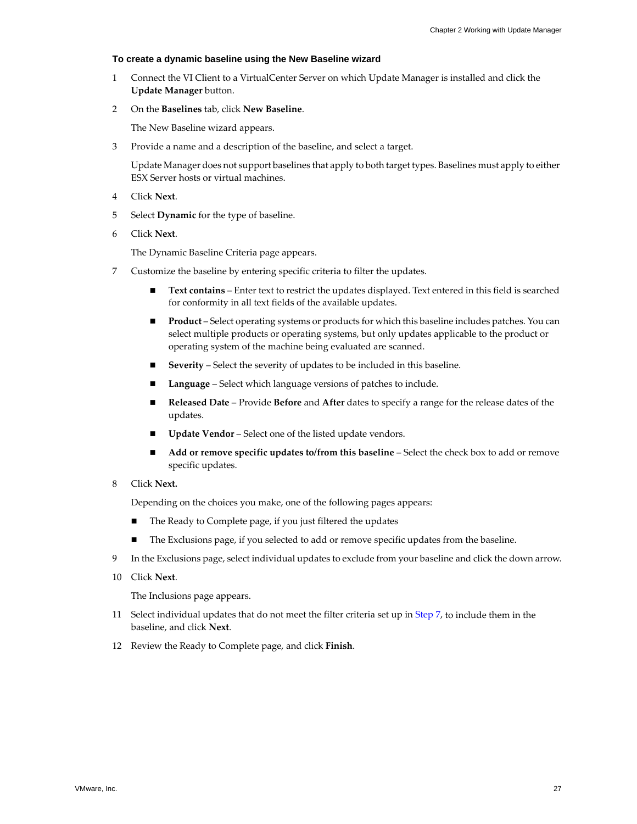### **To create a dynamic baseline using the New Baseline wizard**

- 1 Connect the VI Client to a VirtualCenter Server on which Update Manager is installed and click the **Update Manager** button.
- 2 On the **Baselines** tab, click **New Baseline**.

The New Baseline wizard appears.

3 Provide a name and a description of the baseline, and select a target.

Update Manager does not support baselines that apply to both target types. Baselines must apply to either ESX Server hosts or virtual machines.

- 4 Click **Next**.
- 5 Select **Dynamic** for the type of baseline.
- 6 Click **Next**.

The Dynamic Baseline Criteria page appears.

- <span id="page-26-0"></span>7 Customize the baseline by entering specific criteria to filter the updates.
	- **Text contains** Enter text to restrict the updates displayed. Text entered in this field is searched for conformity in all text fields of the available updates.
	- **Product** Select operating systems or products for which this baseline includes patches. You can select multiple products or operating systems, but only updates applicable to the product or operating system of the machine being evaluated are scanned.
	- **Severity** Select the severity of updates to be included in this baseline.
	- **Language** Select which language versions of patches to include.
	- **Released Date** Provide **Before** and **After** dates to specify a range for the release dates of the updates.
	- **Update Vendor** Select one of the listed update vendors.
	- **Add or remove specific updates to/from this baseline** Select the check box to add or remove specific updates.
- 8 Click **Next.**

Depending on the choices you make, one of the following pages appears:

- The Ready to Complete page, if you just filtered the updates
- The Exclusions page, if you selected to add or remove specific updates from the baseline.
- 9 In the Exclusions page, select individual updates to exclude from your baseline and click the down arrow.
- 10 Click **Next**.

The Inclusions page appears.

- 11 Select individual updates that do not meet the filter criteria set up in [Step 7](#page-26-0), to include them in the baseline, and click **Next**.
- 12 Review the Ready to Complete page, and click **Finish**.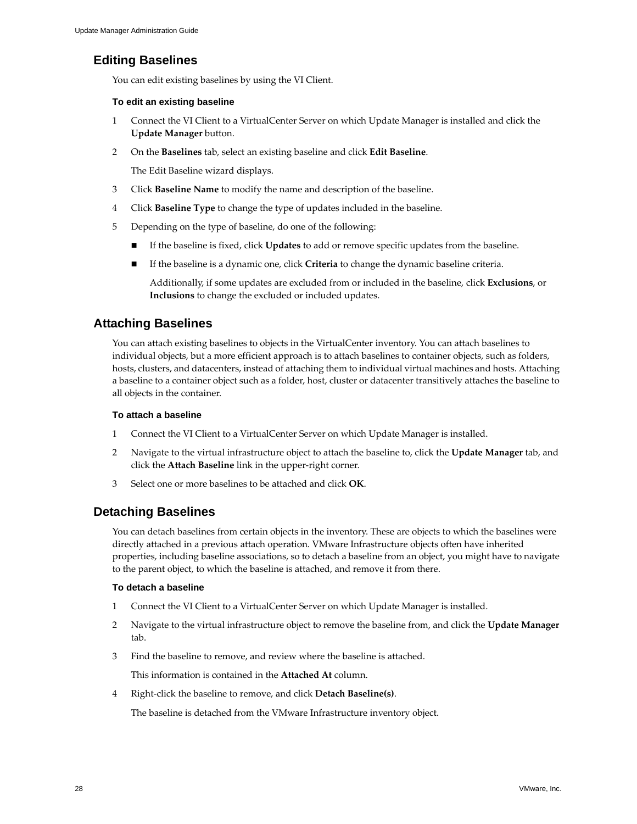# <span id="page-27-0"></span>**Editing Baselines**

<span id="page-27-5"></span>You can edit existing baselines by using the VI Client.

### **To edit an existing baseline**

- 1 Connect the VI Client to a VirtualCenter Server on which Update Manager is installed and click the **Update Manager** button.
- 2 On the **Baselines** tab, select an existing baseline and click **Edit Baseline**.

The Edit Baseline wizard displays.

- 3 Click **Baseline Name** to modify the name and description of the baseline.
- 4 Click **Baseline Type** to change the type of updates included in the baseline.
- 5 Depending on the type of baseline, do one of the following:
	- If the baseline is fixed, click **Updates** to add or remove specific updates from the baseline.
	- If the baseline is a dynamic one, click **Criteria** to change the dynamic baseline criteria.

<span id="page-27-3"></span>Additionally, if some updates are excluded from or included in the baseline, click **Exclusions**, or **Inclusions** to change the excluded or included updates.

# <span id="page-27-1"></span>**Attaching Baselines**

You can attach existing baselines to objects in the VirtualCenter inventory. You can attach baselines to individual objects, but a more efficient approach is to attach baselines to container objects, such as folders, hosts, clusters, and datacenters, instead of attaching them to individual virtual machines and hosts. Attaching a baseline to a container object such as a folder, host, cluster or datacenter transitively attaches the baseline to all objects in the container.

### **To attach a baseline**

- 1 Connect the VI Client to a VirtualCenter Server on which Update Manager is installed.
- 2 Navigate to the virtual infrastructure object to attach the baseline to, click the **Update Manager** tab, and click the **Attach Baseline** link in the upper‐right corner.
- <span id="page-27-4"></span>3 Select one or more baselines to be attached and click **OK**.

# <span id="page-27-2"></span>**Detaching Baselines**

You can detach baselines from certain objects in the inventory. These are objects to which the baselines were directly attached in a previous attach operation. VMware Infrastructure objects often have inherited properties, including baseline associations, so to detach a baseline from an object, you might have to navigate to the parent object, to which the baseline is attached, and remove it from there.

### **To detach a baseline**

- 1 Connect the VI Client to a VirtualCenter Server on which Update Manager is installed.
- 2 Navigate to the virtual infrastructure object to remove the baseline from, and click the **Update Manager** tab.
- 3 Find the baseline to remove, and review where the baseline is attached.

This information is contained in the **Attached At** column.

4 Right‐click the baseline to remove, and click **Detach Baseline(s)**.

The baseline is detached from the VMware Infrastructure inventory object.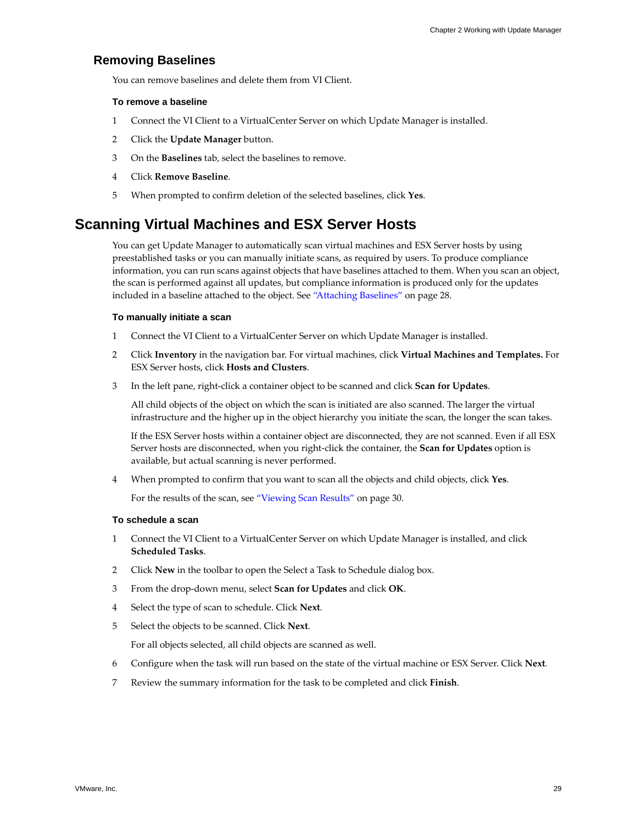### <span id="page-28-0"></span>**Removing Baselines**

<span id="page-28-2"></span>You can remove baselines and delete them from VI Client.

### **To remove a baseline**

- 1 Connect the VI Client to a VirtualCenter Server on which Update Manager is installed.
- 2 Click the **Update Manager** button.
- 3 On the **Baselines** tab, select the baselines to remove.
- 4 Click **Remove Baseline**.
- <span id="page-28-3"></span>5 When prompted to confirm deletion of the selected baselines, click **Yes**.

# <span id="page-28-1"></span>**Scanning Virtual Machines and ESX Server Hosts**

You can get Update Manager to automatically scan virtual machines and ESX Server hosts by using preestablished tasks or you can manually initiate scans, as required by users. To produce compliance information, you can run scans against objects that have baselines attached to them. When you scan an object, the scan is performed against all updates, but compliance information is produced only for the updates included in a baseline attached to the object. See ["Attaching](#page-27-1) Baselines" on page 28.

### <span id="page-28-4"></span>**To manually initiate a scan**

- 1 Connect the VI Client to a VirtualCenter Server on which Update Manager is installed.
- 2 Click **Inventory** in the navigation bar. For virtual machines, click **Virtual Machines and Templates.** For ESX Server hosts, click **Hosts and Clusters**.
- 3 In the left pane, right‐click a container object to be scanned and click **Scan for Updates**.

All child objects of the object on which the scan is initiated are also scanned. The larger the virtual infrastructure and the higher up in the object hierarchy you initiate the scan, the longer the scan takes.

If the ESX Server hosts within a container object are disconnected, they are not scanned. Even if all ESX Server hosts are disconnected, when you right‐click the container, the **Scan for Updates** option is available, but actual scanning is never performed.

4 When prompted to confirm that you want to scan all the objects and child objects, click **Yes**.

<span id="page-28-5"></span>For the results of the scan, see ["Viewing](#page-29-0) Scan Results" on page 30.

### **To schedule a scan**

- 1 Connect the VI Client to a VirtualCenter Server on which Update Manager is installed, and click **Scheduled Tasks**.
- 2 Click **New** in the toolbar to open the Select a Task to Schedule dialog box.
- 3 From the drop‐down menu, select **Scan for Updates** and click **OK**.
- 4 Select the type of scan to schedule. Click **Next**.
- 5 Select the objects to be scanned. Click **Next**.

For all objects selected, all child objects are scanned as well.

- 6 Configure when the task will run based on the state of the virtual machine or ESX Server. Click **Next**.
- 7 Review the summary information for the task to be completed and click **Finish**.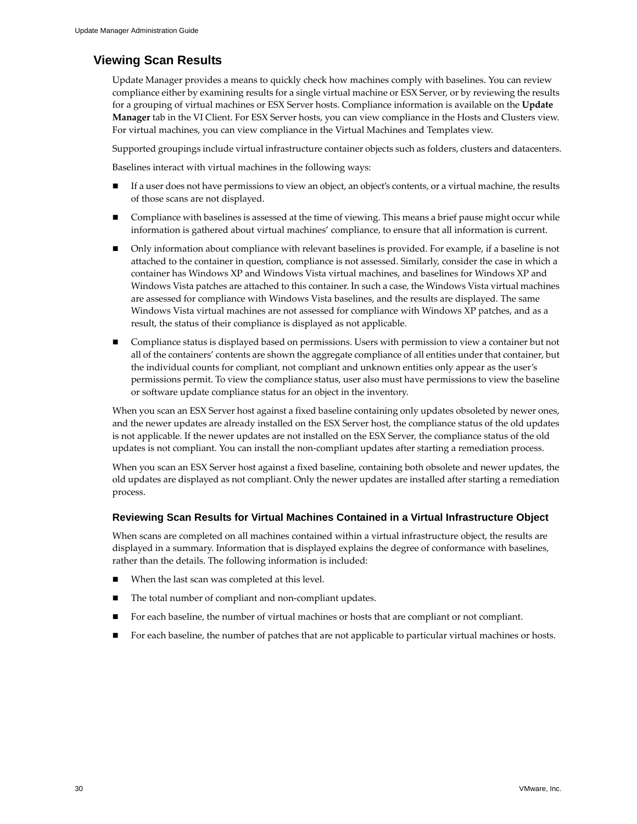# <span id="page-29-0"></span>**Viewing Scan Results**

<span id="page-29-1"></span>Update Manager provides a means to quickly check how machines comply with baselines. You can review compliance either by examining results for a single virtual machine or ESX Server, or by reviewing the results for a grouping of virtual machines or ESX Server hosts. Compliance information is available on the **Update Manager** tab in the VI Client. For ESX Server hosts, you can view compliance in the Hosts and Clusters view. For virtual machines, you can view compliance in the Virtual Machines and Templates view.

Supported groupings include virtual infrastructure container objects such as folders, clusters and datacenters.

Baselines interact with virtual machines in the following ways:

- If a user does not have permissions to view an object, an object's contents, or a virtual machine, the results of those scans are not displayed.
- Compliance with baselines is assessed at the time of viewing. This means a brief pause might occur while information is gathered about virtual machines' compliance, to ensure that all information is current.
- Only information about compliance with relevant baselines is provided. For example, if a baseline is not attached to the container in question, compliance is not assessed. Similarly, consider the case in which a container has Windows XP and Windows Vista virtual machines, and baselines for Windows XP and Windows Vista patches are attached to this container. In such a case, the Windows Vista virtual machines are assessed for compliance with Windows Vista baselines, and the results are displayed. The same Windows Vista virtual machines are not assessed for compliance with Windows XP patches, and as a result, the status of their compliance is displayed as not applicable.
- Compliance status is displayed based on permissions. Users with permission to view a container but not all of the containers' contents are shown the aggregate compliance of all entities under that container, but the individual counts for compliant, not compliant and unknown entities only appear as the user's permissions permit. To view the compliance status, user also must have permissions to view the baseline or software update compliance status for an object in the inventory.

When you scan an ESX Server host against a fixed baseline containing only updates obsoleted by newer ones, and the newer updates are already installed on the ESX Server host, the compliance status of the old updates is not applicable. If the newer updates are not installed on the ESX Server, the compliance status of the old updates is not compliant. You can install the non‐compliant updates after starting a remediation process.

When you scan an ESX Server host against a fixed baseline, containing both obsolete and newer updates, the old updates are displayed as not compliant. Only the newer updates are installed after starting a remediation process.

### **Reviewing Scan Results for Virtual Machines Contained in a Virtual Infrastructure Object**

When scans are completed on all machines contained within a virtual infrastructure object, the results are displayed in a summary. Information that is displayed explains the degree of conformance with baselines, rather than the details. The following information is included:

- When the last scan was completed at this level.
- The total number of compliant and non‐compliant updates.
- For each baseline, the number of virtual machines or hosts that are compliant or not compliant.
- For each baseline, the number of patches that are not applicable to particular virtual machines or hosts.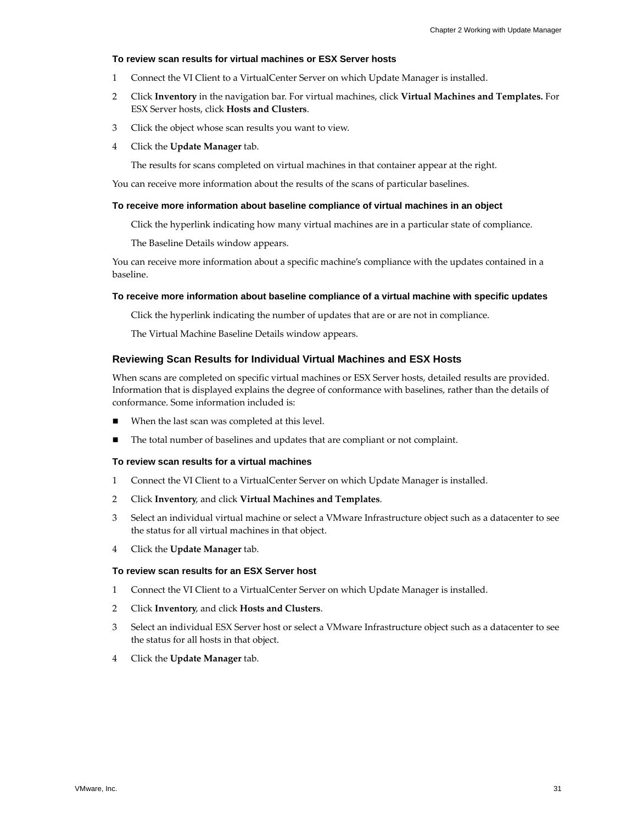### **To review scan results for virtual machines or ESX Server hosts**

- 1 Connect the VI Client to a VirtualCenter Server on which Update Manager is installed.
- 2 Click **Inventory** in the navigation bar. For virtual machines, click **Virtual Machines and Templates.** For ESX Server hosts, click **Hosts and Clusters**.
- 3 Click the object whose scan results you want to view.
- 4 Click the **Update Manager** tab.

The results for scans completed on virtual machines in that container appear at the right.

You can receive more information about the results of the scans of particular baselines.

### **To receive more information about baseline compliance of virtual machines in an object**

Click the hyperlink indicating how many virtual machines are in a particular state of compliance.

The Baseline Details window appears.

You can receive more information about a specific machine's compliance with the updates contained in a baseline.

### **To receive more information about baseline compliance of a virtual machine with specific updates**

Click the hyperlink indicating the number of updates that are or are not in compliance.

The Virtual Machine Baseline Details window appears.

### **Reviewing Scan Results for Individual Virtual Machines and ESX Hosts**

When scans are completed on specific virtual machines or ESX Server hosts, detailed results are provided. Information that is displayed explains the degree of conformance with baselines, rather than the details of conformance. Some information included is:

- When the last scan was completed at this level.
- The total number of baselines and updates that are compliant or not complaint.

### <span id="page-30-1"></span>**To review scan results for a virtual machines**

- 1 Connect the VI Client to a VirtualCenter Server on which Update Manager is installed.
- 2 Click **Inventory**, and click **Virtual Machines and Templates**.
- 3 Select an individual virtual machine or select a VMware Infrastructure object such as a datacenter to see the status for all virtual machines in that object.
- 4 Click the **Update Manager** tab.

### <span id="page-30-0"></span>**To review scan results for an ESX Server host**

- 1 Connect the VI Client to a VirtualCenter Server on which Update Manager is installed.
- 2 Click **Inventory**, and click **Hosts and Clusters**.
- 3 Select an individual ESX Server host or select a VMware Infrastructure object such as a datacenter to see the status for all hosts in that object.
- 4 Click the **Update Manager** tab.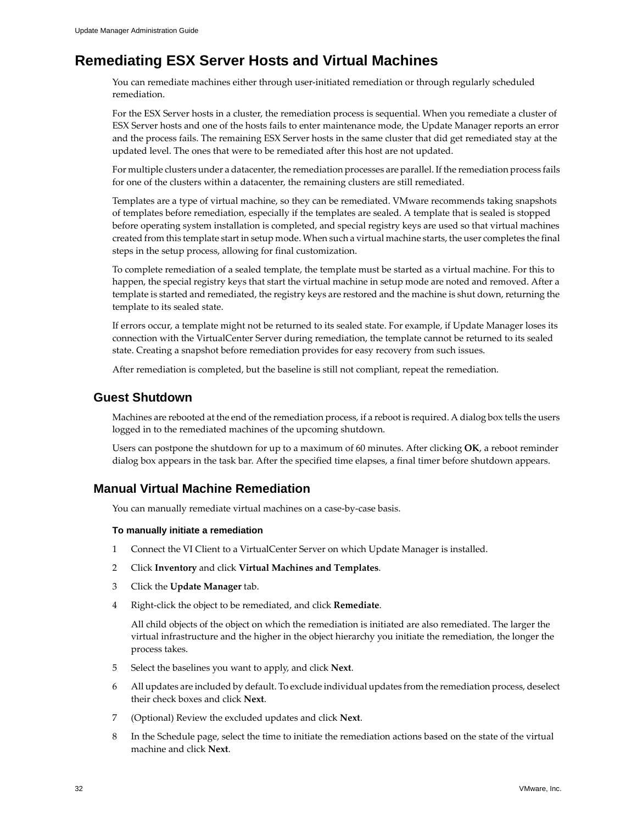# <span id="page-31-0"></span>**Remediating ESX Server Hosts and Virtual Machines**

<span id="page-31-3"></span>You can remediate machines either through user-initiated remediation or through regularly scheduled remediation.

For the ESX Server hosts in a cluster, the remediation process is sequential. When you remediate a cluster of ESX Server hosts and one of the hosts fails to enter maintenance mode, the Update Manager reports an error and the process fails. The remaining ESX Server hosts in the same cluster that did get remediated stay at the updated level. The ones that were to be remediated after this host are not updated.

For multiple clusters under a datacenter, the remediation processes are parallel. If the remediation process fails for one of the clusters within a datacenter, the remaining clusters are still remediated.

Templates are a type of virtual machine, so they can be remediated. VMware recommends taking snapshots of templates before remediation, especially if the templates are sealed. A template that is sealed is stopped before operating system installation is completed, and special registry keys are used so that virtual machines created from this template start in setup mode. When such a virtual machine starts, the user completes the final steps in the setup process, allowing for final customization.

To complete remediation of a sealed template, the template must be started as a virtual machine. For this to happen, the special registry keys that start the virtual machine in setup mode are noted and removed. After a template is started and remediated, the registry keys are restored and the machine is shut down, returning the template to its sealed state.

If errors occur, a template might not be returned to its sealed state. For example, if Update Manager loses its connection with the VirtualCenter Server during remediation, the template cannot be returned to its sealed state. Creating a snapshot before remediation provides for easy recovery from such issues.

<span id="page-31-5"></span>After remediation is completed, but the baseline is still not compliant, repeat the remediation.

# <span id="page-31-1"></span>**Guest Shutdown**

Machines are rebooted at the end of the remediation process, if a reboot is required. A dialog box tells the users logged in to the remediated machines of the upcoming shutdown.

<span id="page-31-4"></span>Users can postpone the shutdown for up to a maximum of 60 minutes. After clicking **OK**, a reboot reminder dialog box appears in the task bar. After the specified time elapses, a final timer before shutdown appears.

# <span id="page-31-2"></span>**Manual Virtual Machine Remediation**

You can manually remediate virtual machines on a case-by-case basis.

### **To manually initiate a remediation**

- 1 Connect the VI Client to a VirtualCenter Server on which Update Manager is installed.
- 2 Click **Inventory** and click **Virtual Machines and Templates**.
- 3 Click the **Update Manager** tab.
- 4 Right‐click the object to be remediated, and click **Remediate**.

All child objects of the object on which the remediation is initiated are also remediated. The larger the virtual infrastructure and the higher in the object hierarchy you initiate the remediation, the longer the process takes.

- 5 Select the baselines you want to apply, and click **Next**.
- 6 All updates are included by default. To exclude individual updates from the remediation process, deselect their check boxes and click **Next**.
- 7 (Optional) Review the excluded updates and click **Next**.
- 8 In the Schedule page, select the time to initiate the remediation actions based on the state of the virtual machine and click **Next**.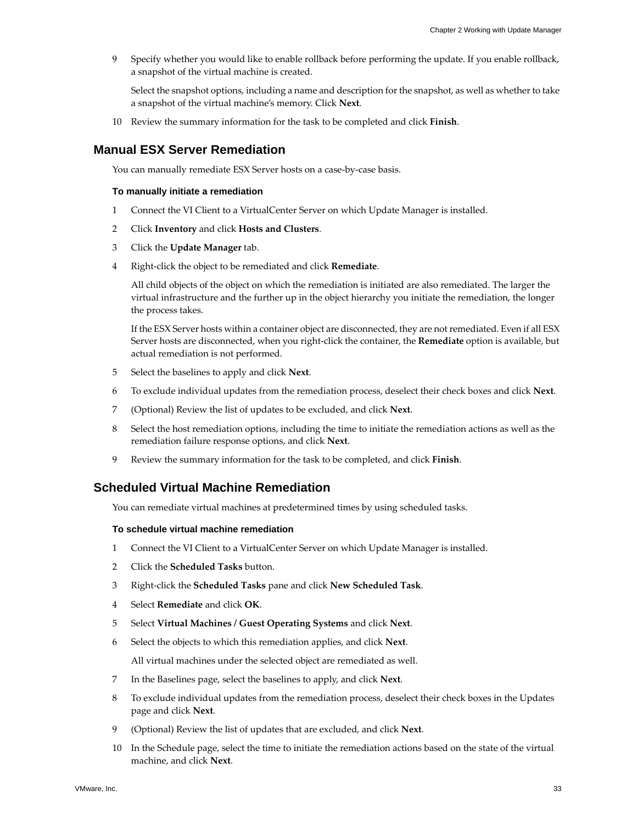9 Specify whether you would like to enable rollback before performing the update. If you enable rollback, a snapshot of the virtual machine is created.

<span id="page-32-2"></span>Select the snapshot options, including a name and description for the snapshot, as well as whether to take a snapshot of the virtual machine's memory. Click **Next**.

10 Review the summary information for the task to be completed and click **Finish**.

### <span id="page-32-0"></span>**Manual ESX Server Remediation**

You can manually remediate ESX Server hosts on a case-by-case basis.

### **To manually initiate a remediation**

- 1 Connect the VI Client to a VirtualCenter Server on which Update Manager is installed.
- 2 Click **Inventory** and click **Hosts and Clusters**.
- 3 Click the **Update Manager** tab.
- 4 Right‐click the object to be remediated and click **Remediate**.

All child objects of the object on which the remediation is initiated are also remediated. The larger the virtual infrastructure and the further up in the object hierarchy you initiate the remediation, the longer the process takes.

If the ESX Server hosts within a container object are disconnected, they are notremediated. Even if all ESX Server hosts are disconnected, when you right‐click the container, the **Remediate** option is available, but actual remediation is not performed.

- 5 Select the baselines to apply and click **Next**.
- 6 To exclude individual updates from the remediation process, deselect their check boxes and click **Next**.
- 7 (Optional) Review the list of updates to be excluded, and click **Next**.
- 8 Select the host remediation options, including the time to initiate the remediation actions as well as the remediation failure response options, and click **Next**.
- <span id="page-32-3"></span>9 Review the summary information for the task to be completed, and click **Finish**.

### <span id="page-32-1"></span>**Scheduled Virtual Machine Remediation**

You can remediate virtual machines at predetermined times by using scheduled tasks.

#### **To schedule virtual machine remediation**

- 1 Connect the VI Client to a VirtualCenter Server on which Update Manager is installed.
- 2 Click the **Scheduled Tasks** button.
- 3 Right‐click the **Scheduled Tasks** pane and click **New Scheduled Task**.
- 4 Select **Remediate** and click **OK**.
- 5 Select **Virtual Machines / Guest Operating Systems** and click **Next**.
- 6 Select the objects to which this remediation applies, and click **Next**.

All virtual machines under the selected object are remediated as well.

- 7 In the Baselines page, select the baselines to apply, and click **Next**.
- 8 To exclude individual updates from the remediation process, deselect their check boxes in the Updates page and click **Next**.
- 9 (Optional) Review the list of updates that are excluded, and click **Next**.
- 10 In the Schedule page, select the time to initiate the remediation actions based on the state of the virtual machine, and click **Next**.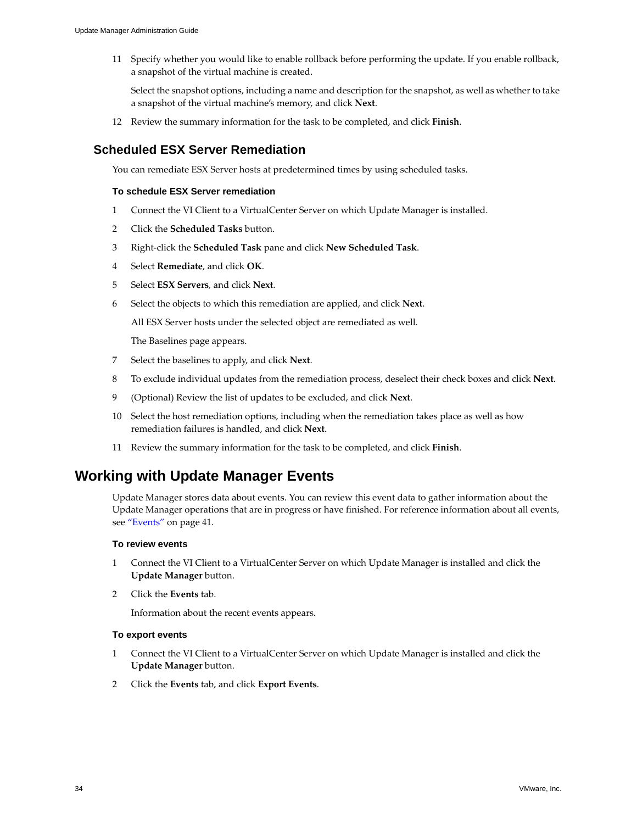11 Specify whether you would like to enable rollback before performing the update. If you enable rollback, a snapshot of the virtual machine is created.

Select the snapshot options, including a name and description for the snapshot, as well as whether to take a snapshot of the virtual machine's memory, and click **Next**.

12 Review the summary information for the task to be completed, and click **Finish**.

# <span id="page-33-0"></span>**Scheduled ESX Server Remediation**

You can remediate ESX Server hosts at predetermined times by using scheduled tasks.

### **To schedule ESX Server remediation**

- 1 Connect the VI Client to a VirtualCenter Server on which Update Manager is installed.
- 2 Click the **Scheduled Tasks** button.
- 3 Right‐click the **Scheduled Task** pane and click **New Scheduled Task**.
- 4 Select **Remediate**, and click **OK**.
- 5 Select **ESX Servers**, and click **Next**.
- 6 Select the objects to which this remediation are applied, and click **Next**.

All ESX Server hosts under the selected object are remediated as well.

The Baselines page appears.

- 7 Select the baselines to apply, and click **Next**.
- 8 To exclude individual updates from the remediation process, deselect their check boxes and click **Next**.
- 9 (Optional) Review the list of updates to be excluded, and click **Next**.
- 10 Select the host remediation options, including when the remediation takes place as well as how remediation failures is handled, and click **Next**.
- <span id="page-33-4"></span>11 Review the summary information for the task to be completed, and click **Finish**.

# <span id="page-33-1"></span>**Working with Update Manager Events**

Update Manager stores data about events. You can review this event data to gather information about the Update Manager operations that are in progress or have finished. For reference information about all events, see ["Events"](#page-40-2) on page 41.

### <span id="page-33-3"></span>**To review events**

- 1 Connect the VI Client to a VirtualCenter Server on which Update Manager is installed and click the **Update Manager** button.
- 2 Click the **Events** tab.

<span id="page-33-2"></span>Information about the recent events appears.

### **To export events**

- 1 Connect the VI Client to a VirtualCenter Server on which Update Manager is installed and click the **Update Manager** button.
- 2 Click the **Events** tab, and click **Export Events**.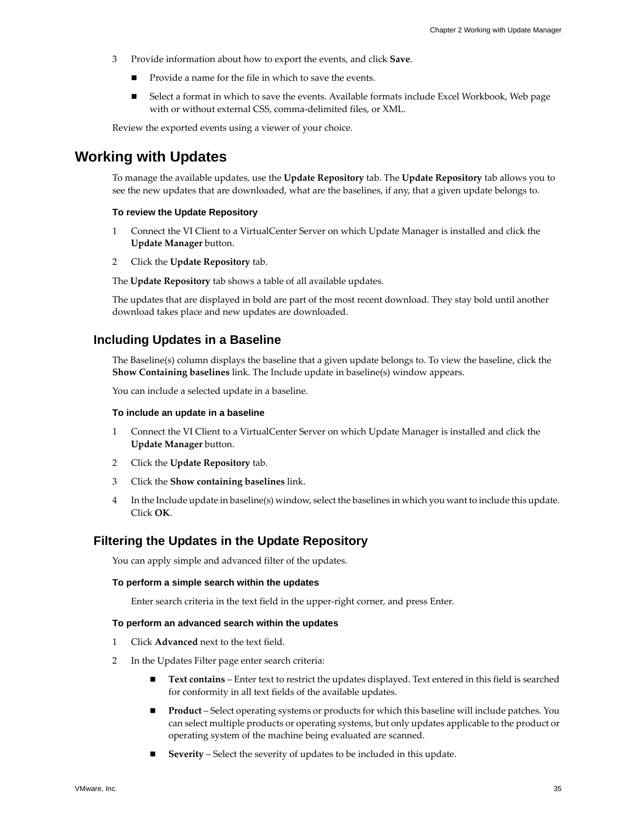- 3 Provide information about how to export the events, and click **Save**.
	- Provide a name for the file in which to save the events.
	- Select a format in which to save the events. Available formats include Excel Workbook, Web page with or without external CSS, comma‐delimited files, or XML.

Review the exported events using a viewer of your choice.

# <span id="page-34-0"></span>**Working with Updates**

To manage the available updates, use the **Update Repository** tab. The **Update Repository** tab allows you to see the new updates that are downloaded, what are the baselines, if any, that a given update belongs to.

### <span id="page-34-3"></span>**To review the Update Repository**

- 1 Connect the VI Client to a VirtualCenter Server on which Update Manager is installed and click the **Update Manager** button.
- 2 Click the **Update Repository** tab.

The **Update Repository** tab shows a table of all available updates.

The updates that are displayed in bold are part of the most recent download. They stay bold until another download takes place and new updates are downloaded.

### <span id="page-34-1"></span>**Including Updates in a Baseline**

<span id="page-34-5"></span>The Baseline(s) column displays the baseline that a given update belongs to. To view the baseline, click the **Show Containing baselines** link. The Include update in baseline(s) window appears.

You can include a selected update in a baseline.

### **To include an update in a baseline**

- 1 Connect the VI Client to a VirtualCenter Server on which Update Manager is installed and click the **Update Manager** button.
- 2 Click the **Update Repository** tab.
- 3 Click the **Show containing baselines** link.
- 4 In the Include update in baseline(s) window, select the baselines in which you want to include this update. Click **OK**.

### <span id="page-34-2"></span>**Filtering the Updates in the Update Repository**

You can apply simple and advanced filter of the updates.

### **To perform a simple search within the updates**

<span id="page-34-4"></span>Enter search criteria in the text field in the upper‐right corner, and press Enter.

### **To perform an advanced search within the updates**

- 1 Click **Advanced** next to the text field.
- 2 In the Updates Filter page enter search criteria:
	- **Text contains** Enter text to restrict the updates displayed. Text entered in this field is searched for conformity in all text fields of the available updates.
	- **Product** Select operating systems or products for which this baseline will include patches. You can select multiple products or operating systems, but only updates applicable to the product or operating system of the machine being evaluated are scanned.
	- **Severity** Select the severity of updates to be included in this update.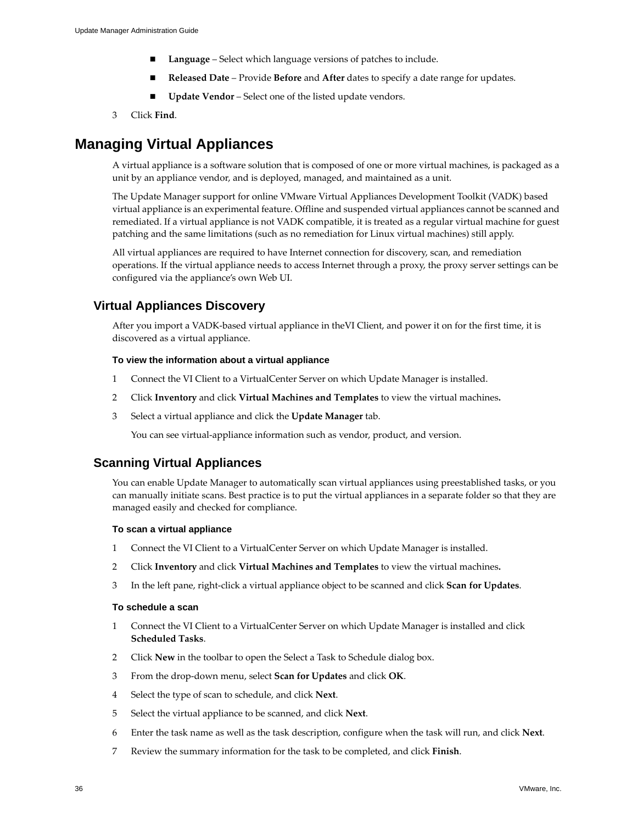- **Language** Select which language versions of patches to include.
- **Released Date** Provide **Before** and **After** dates to specify a date range for updates.
- **Update Vendor** Select one of the listed update vendors.
- 3 Click **Find**.

# <span id="page-35-0"></span>**Managing Virtual Appliances**

A virtual appliance is a software solution that is composed of one or more virtual machines, is packaged as a unit by an appliance vendor, and is deployed, managed, and maintained as a unit.

The Update Manager support for online VMware Virtual Appliances Development Toolkit (VADK) based virtual appliance is an experimental feature. Offline and suspended virtual appliances cannot be scanned and remediated. If a virtual appliance is not VADK compatible, it is treated as a regular virtual machine for guest patching and the same limitations (such as no remediation for Linux virtual machines) still apply.

All virtual appliances are required to have Internet connection for discovery, scan, and remediation operations. If the virtual appliance needs to access Internet through a proxy, the proxy server settings can be configured via the appliance's own Web UI.

# <span id="page-35-1"></span>**Virtual Appliances Discovery**

<span id="page-35-5"></span>After you import a VADK‐based virtual appliance in theVI Client, and power it on for the first time, it is discovered as a virtual appliance.

### **To view the information about a virtual appliance**

- 1 Connect the VI Client to a VirtualCenter Server on which Update Manager is installed.
- 2 Click **Inventory** and click **Virtual Machines and Templates** to view the virtual machines**.**
- 3 Select a virtual appliance and click the **Update Manager** tab.

<span id="page-35-4"></span>You can see virtual-appliance information such as vendor, product, and version.

### <span id="page-35-3"></span><span id="page-35-2"></span>**Scanning Virtual Appliances**

You can enable Update Manager to automatically scan virtual appliances using preestablished tasks, or you can manually initiate scans. Best practice is to put the virtual appliances in a separate folder so that they are managed easily and checked for compliance.

### **To scan a virtual appliance**

- 1 Connect the VI Client to a VirtualCenter Server on which Update Manager is installed.
- 2 Click **Inventory** and click **Virtual Machines and Templates** to view the virtual machines**.**
- 3 In the left pane, right‐click a virtual appliance object to be scanned and click **Scan for Updates**.

### **To schedule a scan**

- 1 Connect the VI Client to a VirtualCenter Server on which Update Manager is installed and click **Scheduled Tasks**.
- 2 Click **New** in the toolbar to open the Select a Task to Schedule dialog box.
- 3 From the drop‐down menu, select **Scan for Updates** and click **OK**.
- 4 Select the type of scan to schedule, and click **Next**.
- 5 Select the virtual appliance to be scanned, and click **Next**.
- 6 Enter the task name as well as the task description, configure when the task will run, and click **Next**.
- 7 Review the summary information for the task to be completed, and click **Finish**.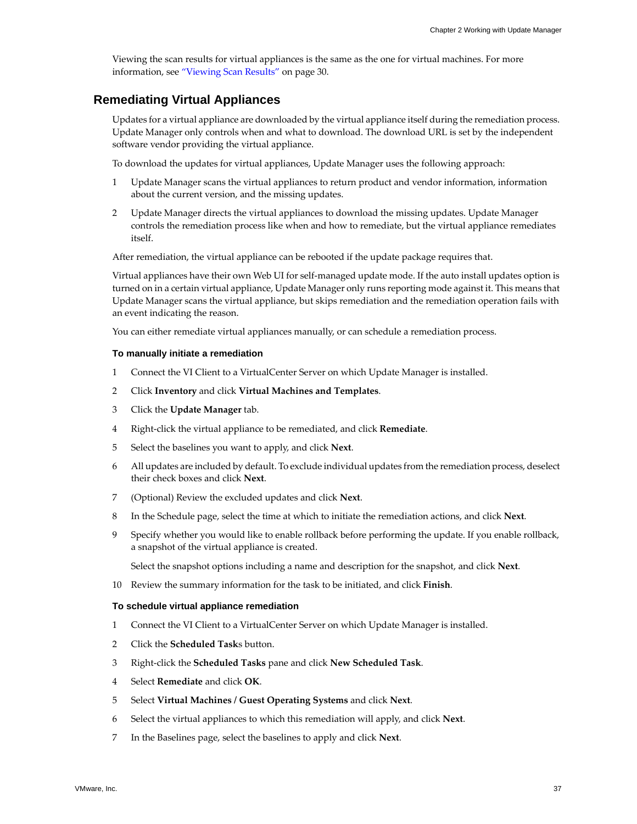<span id="page-36-2"></span>Viewing the scan results for virtual appliances is the same as the one for virtual machines. For more information, see ["Viewing](#page-29-0) Scan Results" on page 30.

### <span id="page-36-1"></span><span id="page-36-0"></span>**Remediating Virtual Appliances**

Updates for a virtual appliance are downloaded by the virtual appliance itself during the remediation process. Update Manager only controls when and what to download. The download URL is set by the independent software vendor providing the virtual appliance.

To download the updates for virtual appliances, Update Manager uses the following approach:

- 1 Update Manager scans the virtual appliances to return product and vendor information, information about the current version, and the missing updates.
- 2 Update Manager directs the virtual appliances to download the missing updates. Update Manager controls the remediation process like when and how to remediate, but the virtual appliance remediates itself.

After remediation, the virtual appliance can be rebooted if the update package requires that.

Virtual appliances have their own Web UI for self‐managed update mode. If the auto install updates option is turned on in a certain virtual appliance, Update Manager only runs reporting mode against it. This means that Update Manager scans the virtual appliance, but skips remediation and the remediation operation fails with an event indicating the reason.

You can either remediate virtual appliances manually, or can schedule a remediation process.

### **To manually initiate a remediation**

- 1 Connect the VI Client to a VirtualCenter Server on which Update Manager is installed.
- 2 Click **Inventory** and click **Virtual Machines and Templates**.
- 3 Click the **Update Manager** tab.
- 4 Right‐click the virtual appliance to be remediated, and click **Remediate**.
- 5 Select the baselines you want to apply, and click **Next**.
- 6 All updates are included by default. To exclude individual updates from the remediation process, deselect their check boxes and click **Next**.
- 7 (Optional) Review the excluded updates and click **Next**.
- 8 In the Schedule page, select the time at which to initiate the remediation actions, and click **Next**.
- 9 Specify whether you would like to enable rollback before performing the update. If you enable rollback, a snapshot of the virtual appliance is created.

Select the snapshot options including a name and description for the snapshot, and click **Next**.

10 Review the summary information for the task to be initiated, and click **Finish**.

### **To schedule virtual appliance remediation**

- 1 Connect the VI Client to a VirtualCenter Server on which Update Manager is installed.
- 2 Click the **Scheduled Task**s button.
- 3 Right‐click the **Scheduled Tasks** pane and click **New Scheduled Task**.
- 4 Select **Remediate** and click **OK**.
- 5 Select **Virtual Machines / Guest Operating Systems** and click **Next**.
- 6 Select the virtual appliances to which this remediation will apply, and click **Next**.
- 7 In the Baselines page, select the baselines to apply and click **Next**.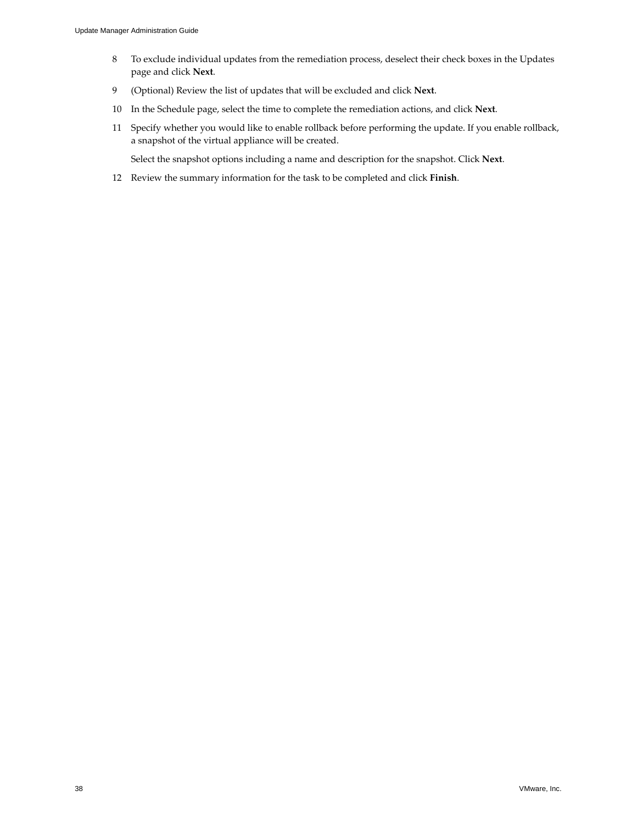- 8 To exclude individual updates from the remediation process, deselect their check boxes in the Updates page and click **Next**.
- 9 (Optional) Review the list of updates that will be excluded and click **Next**.
- 10 In the Schedule page, select the time to complete the remediation actions, and click **Next**.
- 11 Specify whether you would like to enable rollback before performing the update. If you enable rollback, a snapshot of the virtual appliance will be created.

Select the snapshot options including a name and description for the snapshot. Click **Next**.

12 Review the summary information for the task to be completed and click **Finish**.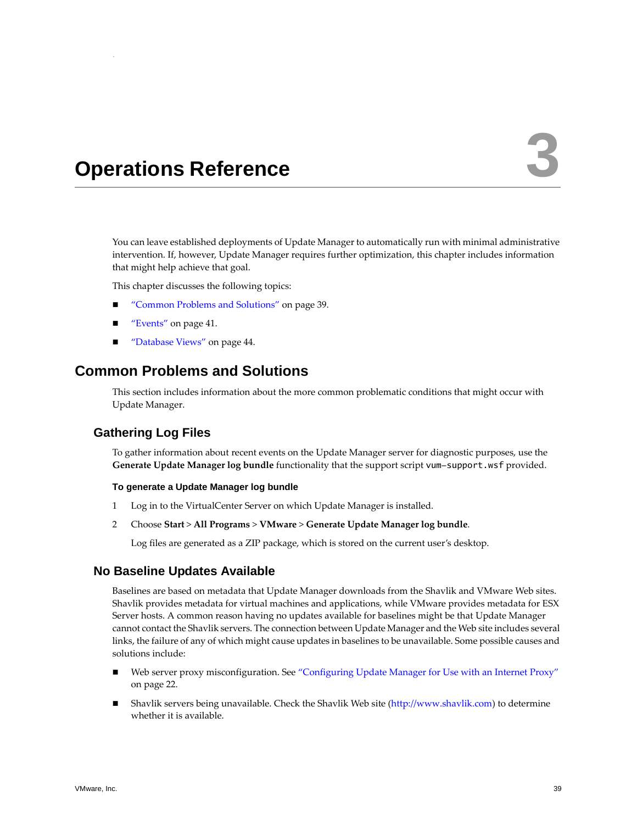# <span id="page-38-1"></span><span id="page-38-0"></span>**Operations Reference 33**

You can leave established deployments of Update Manager to automatically run with minimal administrative intervention. If, however, Update Manager requires further optimization, this chapter includes information that might help achieve that goal.

This chapter discusses the following topics:

- ["Common](#page-38-2) Problems and Solutions" on page 39.
- ["Events"](#page-40-1) on page 41.
- ["Database](#page-43-0) Views" on page 44.

# <span id="page-38-2"></span>**Common Problems and Solutions**

<span id="page-38-8"></span>This section includes information about the more common problematic conditions that might occur with Update Manager.

# <span id="page-38-3"></span>**Gathering Log Files**

To gather information about recent events on the Update Manager server for diagnostic purposes, use the **Generate Update Manager log bundle** functionality that the support script vum-support.wsf provided.

### <span id="page-38-5"></span>**To generate a Update Manager log bundle**

- 1 Log in to the VirtualCenter Server on which Update Manager is installed.
- 2 Choose **Start** > **All Programs** > **VMware** > **Generate Update Manager log bundle**.

<span id="page-38-7"></span><span id="page-38-6"></span>Log files are generated as a ZIP package, which is stored on the current user's desktop.

### <span id="page-38-4"></span>**No Baseline Updates Available**

Baselines are based on metadata that Update Manager downloads from the Shavlik and VMware Web sites. Shavlik provides metadata for virtual machines and applications, while VMware provides metadata for ESX Server hosts. A common reason having no updates available for baselines might be that Update Manager cannot contact the Shavlik servers. The connection between Update Manager and the Web site includes several links, the failure of any of which might cause updates in baselines to be unavailable. Some possible causes and solutions include:

- Web server proxy misconfiguration. See ["Configuring](#page-21-2) Update Manager for Use with an Internet Proxy" on [page 22.](#page-21-2)
- Shavlik servers being unavailable. Check the Shavlik Web site [\(http://www.shavlik.com](http://www.shavlik.com)) to determine whether it is available.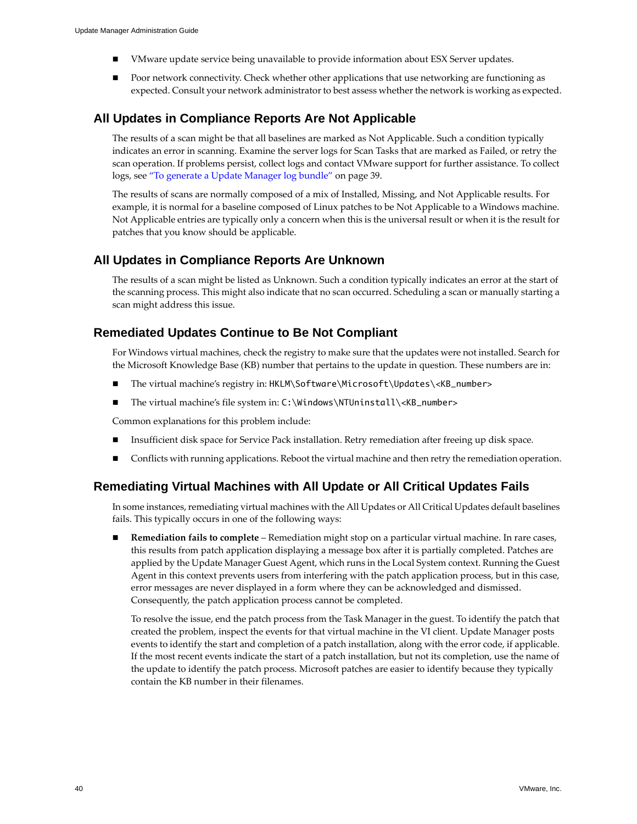- VMware update service being unavailable to provide information about ESX Server updates.
- <span id="page-39-5"></span> Poor network connectivity. Check whether other applications that use networking are functioning as expected. Consult your network administrator to best assess whether the network is working as expected.

## <span id="page-39-0"></span>**All Updates in Compliance Reports Are Not Applicable**

The results of a scan might be that all baselines are marked as Not Applicable. Such a condition typically indicates an error in scanning. Examine the server logs for Scan Tasks that are marked as Failed, or retry the scan operation. If problems persist, collect logs and contact VMware support for further assistance. To collect logs, see "To generate a Update [Manager](#page-38-5) log bundle" on page 39.

The results of scans are normally composed of a mix of Installed, Missing, and Not Applicable results. For example, it is normal for a baseline composed of Linux patches to be Not Applicable to a Windows machine. Not Applicable entries are typically only a concern when this is the universal result or when it is the result for patches that you know should be applicable.

## <span id="page-39-1"></span>**All Updates in Compliance Reports Are Unknown**

<span id="page-39-4"></span>The results of a scan might be listed as Unknown. Such a condition typically indicates an error at the start of the scanning process. This might also indicate that no scan occurred. Scheduling a scan or manually starting a scan might address this issue.

# <span id="page-39-2"></span>**Remediated Updates Continue to Be Not Compliant**

<span id="page-39-6"></span>For Windows virtual machines, check the registry to make sure that the updates were not installed. Search for the Microsoft Knowledge Base (KB) number that pertains to the update in question. These numbers are in:

- The virtual machine's registry in: HKLM\Software\Microsoft\Updates\<KB\_number>
- The virtual machine's file system in: C:\Windows\NTUninstall\<KB\_number>

Common explanations for this problem include:

- Insufficient disk space for Service Pack installation. Retry remediation after freeing up disk space.
- Conflicts with running applications. Reboot the virtual machine and then retry the remediation operation.

# <span id="page-39-3"></span>**Remediating Virtual Machines with All Update or All Critical Updates Fails**

In some instances, remediating virtual machines with the All Updates or All Critical Updates default baselines fails. This typically occurs in one of the following ways:

 **Remediation fails to complete** – Remediation might stop on a particular virtual machine. In rare cases, this results from patch application displaying a message box after it is partially completed. Patches are applied by the Update Manager Guest Agent, which runs in the Local System context. Running the Guest Agent in this context prevents users from interfering with the patch application process, but in this case, error messages are never displayed in a form where they can be acknowledged and dismissed. Consequently, the patch application process cannot be completed.

To resolve the issue, end the patch process from the Task Manager in the guest. To identify the patch that created the problem, inspect the events for that virtual machine in the VI client. Update Manager posts events to identify the start and completion of a patch installation, along with the error code, if applicable. If the most recent events indicate the start of a patch installation, but not its completion, use the name of the update to identify the patch process. Microsoft patches are easier to identify because they typically contain the KB number in their filenames.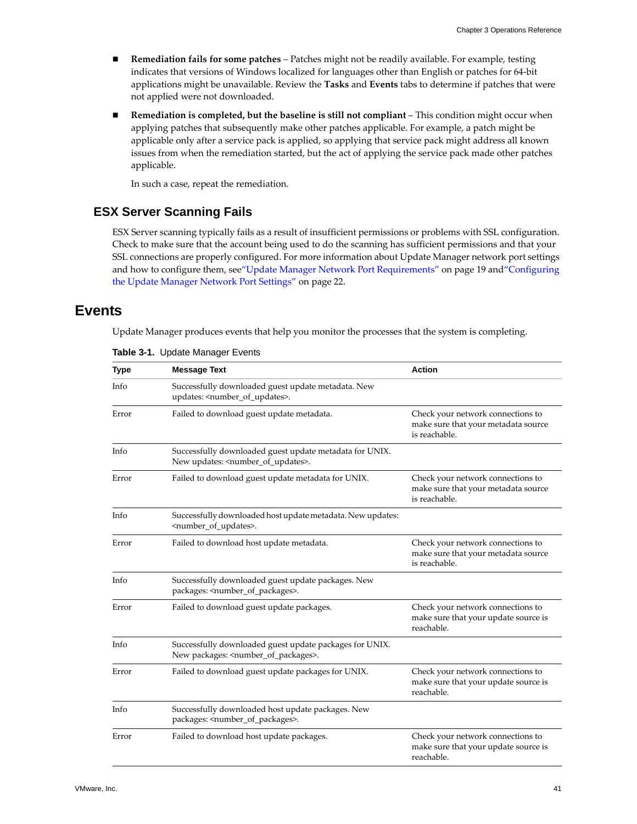- **Remediation fails for some patches** Patches might not be readily available. For example, testing indicates that versions of Windows localized for languages other than English or patches for 64‐bit applications might be unavailable. Review the **Tasks** and **Events** tabs to determine if patches that were not applied were not downloaded.
- **Remediation is completed, but the baseline is still not compliant** This condition might occur when applying patches that subsequently make other patches applicable. For example, a patch might be applicable only after a service pack is applied, so applying that service pack might address all known issues from when the remediation started, but the act of applying the service pack made other patches applicable.

<span id="page-40-3"></span>In such a case, repeat the remediation.

# <span id="page-40-0"></span>**ESX Server Scanning Fails**

ESX Server scanning typically fails as a result of insufficient permissions or problems with SSL configuration. Check to make sure that the account being used to do the scanning has sufficient permissions and that your SSL connections are properly configured. For more information about Update Manager network port settings and how to configure them, see"Update Manager Network Port [Requirements"](#page-18-2) on page 19 and["Configuring](#page-21-4) the Update Manager Network Port [Settings"](#page-21-4) on page 22.

# <span id="page-40-2"></span><span id="page-40-1"></span>**Events**

<span id="page-40-4"></span>Update Manager produces events that help you monitor the processes that the system is completing.

| <b>Type</b> | <b>Message Text</b>                                                                                                 | <b>Action</b>                                                                             |
|-------------|---------------------------------------------------------------------------------------------------------------------|-------------------------------------------------------------------------------------------|
| Info        | Successfully downloaded guest update metadata. New<br>updates: <number_of_updates>.</number_of_updates>             |                                                                                           |
| Error       | Failed to download guest update metadata.                                                                           | Check your network connections to<br>make sure that your metadata source<br>is reachable. |
| Info        | Successfully downloaded guest update metadata for UNIX.<br>New updates: <number_of_updates>.</number_of_updates>    |                                                                                           |
| Error       | Failed to download guest update metadata for UNIX.                                                                  | Check your network connections to<br>make sure that your metadata source<br>is reachable. |
| Info        | Successfully downloaded host update metadata. New updates:<br><number_of_updates>.</number_of_updates>              |                                                                                           |
| Error       | Failed to download host update metadata.                                                                            | Check your network connections to<br>make sure that your metadata source<br>is reachable. |
| Info        | Successfully downloaded guest update packages. New<br>packages: <number_of_packages>.</number_of_packages>          |                                                                                           |
| Error       | Failed to download guest update packages.                                                                           | Check your network connections to<br>make sure that your update source is<br>reachable.   |
| Info        | Successfully downloaded guest update packages for UNIX.<br>New packages: <number_of_packages>.</number_of_packages> |                                                                                           |
| Error       | Failed to download guest update packages for UNIX.                                                                  | Check your network connections to<br>make sure that your update source is<br>reachable.   |
| Info        | Successfully downloaded host update packages. New<br>packages: <number_of_packages>.</number_of_packages>           |                                                                                           |
| Error       | Failed to download host update packages.                                                                            | Check your network connections to<br>make sure that your update source is<br>reachable.   |

**Table 3-1.** Update Manager Events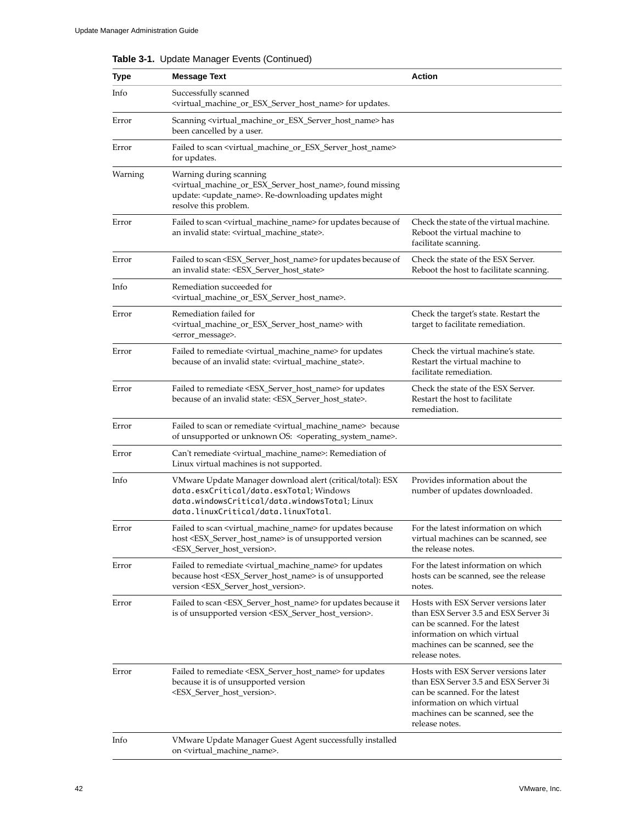| Type    | <b>Message Text</b>                                                                                                                                                                                                             | Action                                                                                                                                                                                                |
|---------|---------------------------------------------------------------------------------------------------------------------------------------------------------------------------------------------------------------------------------|-------------------------------------------------------------------------------------------------------------------------------------------------------------------------------------------------------|
| Info    | Successfully scanned<br><virtual_machine_or_esx_server_host_name> for updates.</virtual_machine_or_esx_server_host_name>                                                                                                        |                                                                                                                                                                                                       |
| Error   | Scanning <virtual_machine_or_esx_server_host_name> has<br/>been cancelled by a user.</virtual_machine_or_esx_server_host_name>                                                                                                  |                                                                                                                                                                                                       |
| Error   | Failed to scan <virtual_machine_or_esx_server_host_name><br/>for updates.</virtual_machine_or_esx_server_host_name>                                                                                                             |                                                                                                                                                                                                       |
| Warning | Warning during scanning<br><virtual_machine_or_esx_server_host_name>, found missing<br/>update: <update_name>. Re-downloading updates might<br/>resolve this problem.</update_name></virtual_machine_or_esx_server_host_name>   |                                                                                                                                                                                                       |
| Error   | Failed to scan <virtual_machine_name> for updates because of<br/>an invalid state: <virtual_machine_state>.</virtual_machine_state></virtual_machine_name>                                                                      | Check the state of the virtual machine.<br>Reboot the virtual machine to<br>facilitate scanning.                                                                                                      |
| Error   | Failed to scan <esx_server_host_name> for updates because of<br/>an invalid state: <esx host="" server="" state=""></esx></esx_server_host_name>                                                                                | Check the state of the ESX Server.<br>Reboot the host to facilitate scanning.                                                                                                                         |
| Info    | Remediation succeeded for<br><virtual_machine_or_esx_server_host_name>.</virtual_machine_or_esx_server_host_name>                                                                                                               |                                                                                                                                                                                                       |
| Error   | Remediation failed for<br><virtual_machine_or_esx_server_host_name> with<br/><error_message>.</error_message></virtual_machine_or_esx_server_host_name>                                                                         | Check the target's state. Restart the<br>target to facilitate remediation.                                                                                                                            |
| Error   | Failed to remediate <virtual_machine_name> for updates<br/>because of an invalid state: <virtual_machine_state>.</virtual_machine_state></virtual_machine_name>                                                                 | Check the virtual machine's state.<br>Restart the virtual machine to<br>facilitate remediation.                                                                                                       |
| Error   | Failed to remediate <esx_server_host_name> for updates<br/>because of an invalid state: <esx_server_host_state>.</esx_server_host_state></esx_server_host_name>                                                                 | Check the state of the ESX Server.<br>Restart the host to facilitate<br>remediation.                                                                                                                  |
| Error   | Failed to scan or remediate <virtual_machine_name> because<br/>of unsupported or unknown OS: <operating_system_name>.</operating_system_name></virtual_machine_name>                                                            |                                                                                                                                                                                                       |
| Error   | Can't remediate <virtual_machine_name>: Remediation of<br/>Linux virtual machines is not supported.</virtual_machine_name>                                                                                                      |                                                                                                                                                                                                       |
| Info    | VMware Update Manager download alert (critical/total): ESX<br>data.esxCritical/data.esxTotal; Windows<br>data.windowsCritical/data.windowsTotal;Linux<br>data.linuxCritical/data.linuxTotal.                                    | Provides information about the<br>number of updates downloaded.                                                                                                                                       |
| Error   | Failed to scan <virtual_machine_name> for updates because<br/>host <esx_server_host_name> is of unsupported version<br/><esx_server_host_version>.</esx_server_host_version></esx_server_host_name></virtual_machine_name>      | For the latest information on which<br>virtual machines can be scanned, see<br>the release notes.                                                                                                     |
| Error   | Failed to remediate <virtual_machine_name> for updates<br/>because host <esx_server_host_name> is of unsupported<br/>version <esx_server_host_version>.</esx_server_host_version></esx_server_host_name></virtual_machine_name> | For the latest information on which<br>hosts can be scanned, see the release<br>notes.                                                                                                                |
| Error   | Failed to scan <esx_server_host_name> for updates because it<br/>is of unsupported version <esx_server_host_version>.</esx_server_host_version></esx_server_host_name>                                                          | Hosts with ESX Server versions later<br>than ESX Server 3.5 and ESX Server 3i<br>can be scanned. For the latest<br>information on which virtual<br>machines can be scanned, see the<br>release notes. |
| Error   | Failed to remediate <esx_server_host_name> for updates<br/>because it is of unsupported version<br/><esx_server_host_version>.</esx_server_host_version></esx_server_host_name>                                                 | Hosts with ESX Server versions later<br>than ESX Server 3.5 and ESX Server 3i<br>can be scanned. For the latest<br>information on which virtual<br>machines can be scanned, see the<br>release notes. |
| Info    | VMware Update Manager Guest Agent successfully installed<br>on <virtual_machine_name>.</virtual_machine_name>                                                                                                                   |                                                                                                                                                                                                       |

**Table 3-1.** Update Manager Events (Continued)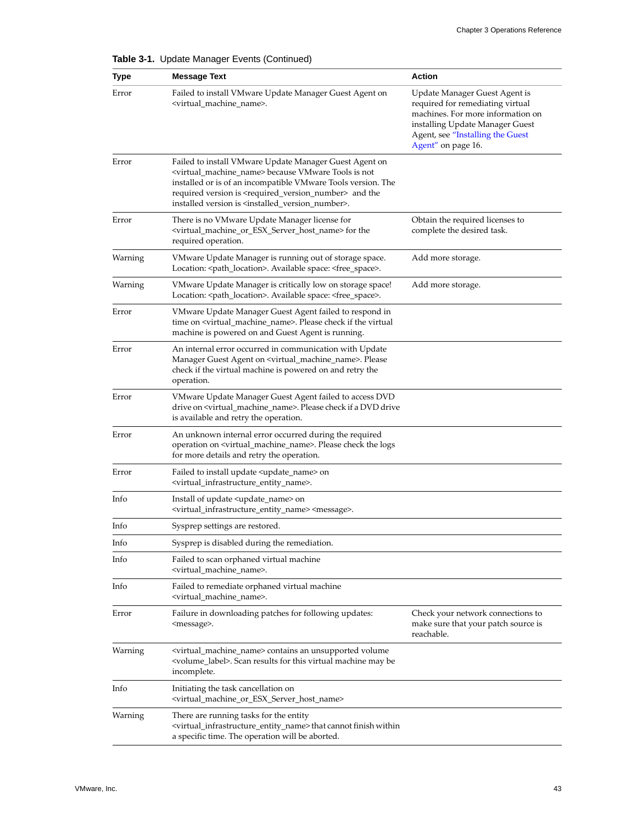| <b>Type</b> | <b>Message Text</b>                                                                                                                                                                                                                                                                                                                                                      | Action                                                                                                                                                                                              |
|-------------|--------------------------------------------------------------------------------------------------------------------------------------------------------------------------------------------------------------------------------------------------------------------------------------------------------------------------------------------------------------------------|-----------------------------------------------------------------------------------------------------------------------------------------------------------------------------------------------------|
| Error       | Failed to install VMware Update Manager Guest Agent on<br><virtual_machine_name>.</virtual_machine_name>                                                                                                                                                                                                                                                                 | Update Manager Guest Agent is<br>required for remediating virtual<br>machines. For more information on<br>installing Update Manager Guest<br>Agent, see "Installing the Guest<br>Agent" on page 16. |
| Error       | Failed to install VMware Update Manager Guest Agent on<br><virtual_machine_name> because VMware Tools is not<br/>installed or is of an incompatible VMware Tools version. The<br/>required version is <required_version_number> and the<br/>installed version is <installed_version_number>.</installed_version_number></required_version_number></virtual_machine_name> |                                                                                                                                                                                                     |
| Error       | There is no VMware Update Manager license for<br><virtual_machine_or_esx_server_host_name> for the<br/>required operation.</virtual_machine_or_esx_server_host_name>                                                                                                                                                                                                     | Obtain the required licenses to<br>complete the desired task.                                                                                                                                       |
| Warning     | VMware Update Manager is running out of storage space.<br>Location: <path_location>. Available space: <free_space>.</free_space></path_location>                                                                                                                                                                                                                         | Add more storage.                                                                                                                                                                                   |
| Warning     | VMware Update Manager is critically low on storage space!<br>Location: <path_location>. Available space: <free_space>.</free_space></path_location>                                                                                                                                                                                                                      | Add more storage.                                                                                                                                                                                   |
| Error       | VMware Update Manager Guest Agent failed to respond in<br>time on <virtual_machine_name>. Please check if the virtual<br/>machine is powered on and Guest Agent is running.</virtual_machine_name>                                                                                                                                                                       |                                                                                                                                                                                                     |
| Error       | An internal error occurred in communication with Update<br>Manager Guest Agent on <virtual_machine_name>. Please<br/>check if the virtual machine is powered on and retry the<br/>operation.</virtual_machine_name>                                                                                                                                                      |                                                                                                                                                                                                     |
| Error       | VMware Update Manager Guest Agent failed to access DVD<br>drive on <virtual_machine_name>. Please check if a DVD drive<br/>is available and retry the operation.</virtual_machine_name>                                                                                                                                                                                  |                                                                                                                                                                                                     |
| Error       | An unknown internal error occurred during the required<br>operation on <virtual_machine_name>. Please check the logs<br/>for more details and retry the operation.</virtual_machine_name>                                                                                                                                                                                |                                                                                                                                                                                                     |
| Error       | Failed to install update <update_name> on<br/><virtual_infrastructure_entity_name>.</virtual_infrastructure_entity_name></update_name>                                                                                                                                                                                                                                   |                                                                                                                                                                                                     |
| Info        | Install of update <update_name> on<br/><virtual_infrastructure_entity_name> <message>.</message></virtual_infrastructure_entity_name></update_name>                                                                                                                                                                                                                      |                                                                                                                                                                                                     |
| Info        | Sysprep settings are restored.                                                                                                                                                                                                                                                                                                                                           |                                                                                                                                                                                                     |
| Info        | Sysprep is disabled during the remediation.                                                                                                                                                                                                                                                                                                                              |                                                                                                                                                                                                     |
| Info        | Failed to scan orphaned virtual machine<br><virtual_machine_name>.</virtual_machine_name>                                                                                                                                                                                                                                                                                |                                                                                                                                                                                                     |
| Info        | Failed to remediate orphaned virtual machine<br><virtual machine="" name="">.</virtual>                                                                                                                                                                                                                                                                                  |                                                                                                                                                                                                     |
| Error       | Failure in downloading patches for following updates:<br><message>.</message>                                                                                                                                                                                                                                                                                            | Check your network connections to<br>make sure that your patch source is<br>reachable.                                                                                                              |
| Warning     | <virtual_machine_name> contains an unsupported volume<br/><volume_label>. Scan results for this virtual machine may be<br/>incomplete.</volume_label></virtual_machine_name>                                                                                                                                                                                             |                                                                                                                                                                                                     |
| Info        | Initiating the task cancellation on<br><virtual_machine_or_esx_server_host_name></virtual_machine_or_esx_server_host_name>                                                                                                                                                                                                                                               |                                                                                                                                                                                                     |
| Warning     | There are running tasks for the entity<br><virtual_infrastructure_entity_name>that cannot finish within<br/>a specific time. The operation will be aborted.</virtual_infrastructure_entity_name>                                                                                                                                                                         |                                                                                                                                                                                                     |

**Table 3-1.** Update Manager Events (Continued)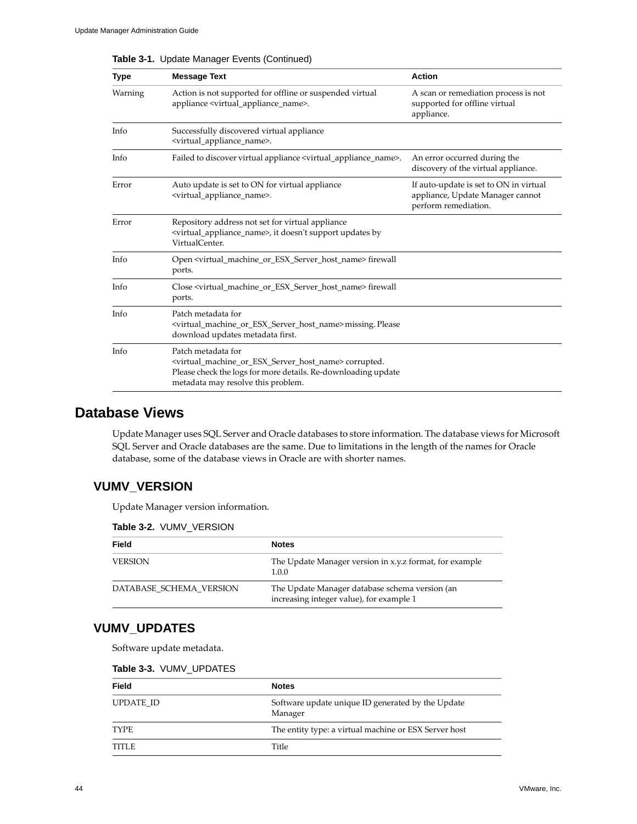| <b>Type</b> | <b>Message Text</b>                                                                                                                                                                                                           | <b>Action</b>                                                                                      |
|-------------|-------------------------------------------------------------------------------------------------------------------------------------------------------------------------------------------------------------------------------|----------------------------------------------------------------------------------------------------|
| Warning     | Action is not supported for offline or suspended virtual<br>appliance <virtual_appliance_name>.</virtual_appliance_name>                                                                                                      | A scan or remediation process is not<br>supported for offline virtual<br>appliance.                |
| Info        | Successfully discovered virtual appliance<br><virtual_appliance_name>.</virtual_appliance_name>                                                                                                                               |                                                                                                    |
| Info        | Failed to discover virtual appliance <virtual_appliance_name>.</virtual_appliance_name>                                                                                                                                       | An error occurred during the<br>discovery of the virtual appliance.                                |
| Error       | Auto update is set to ON for virtual appliance<br><virtual appliance="" name="">.</virtual>                                                                                                                                   | If auto-update is set to ON in virtual<br>appliance, Update Manager cannot<br>perform remediation. |
| Error       | Repository address not set for virtual appliance<br><virtual appliance="" name="">, it doesn't support updates by<br/>VirtualCenter.</virtual>                                                                                |                                                                                                    |
| Info        | Open <virtual esx="" host="" machine="" name="" or="" server=""> firewall<br/>ports.</virtual>                                                                                                                                |                                                                                                    |
| Info        | Close <virtual_machine_or_esx_server_host_name> firewall<br/>ports.</virtual_machine_or_esx_server_host_name>                                                                                                                 |                                                                                                    |
| Info        | Patch metadata for<br><virtual_machine_or_esx_server_host_name>missing.Please<br/>download updates metadata first.</virtual_machine_or_esx_server_host_name>                                                                  |                                                                                                    |
| Info        | Patch metadata for<br><virtual_machine_or_esx_server_host_name> corrupted.<br/>Please check the logs for more details. Re-downloading update<br/>metadata may resolve this problem.</virtual_machine_or_esx_server_host_name> |                                                                                                    |

**Table 3-1.** Update Manager Events (Continued)

# <span id="page-43-0"></span>**Database Views**

<span id="page-43-3"></span>Update Manager uses SQL Server and Oracle databases to store information. The database views for Microsoft SQL Server and Oracle databases are the same. Due to limitations in the length of the names for Oracle database, some of the database views in Oracle are with shorter names.

# <span id="page-43-1"></span>**VUMV\_VERSION**

Update Manager version information.

| Table 3-2. VUMV VERSION |  |  |
|-------------------------|--|--|
|-------------------------|--|--|

| Field                   | <b>Notes</b>                                                                               |
|-------------------------|--------------------------------------------------------------------------------------------|
| <b>VERSION</b>          | The Update Manager version in x.y.z format, for example<br>1.0.0                           |
| DATABASE SCHEMA VERSION | The Update Manager database schema version (an<br>increasing integer value), for example 1 |

# <span id="page-43-2"></span>**VUMV\_UPDATES**

Software update metadata.

| <b>Table 3-3. VUMV UPDATES</b> |
|--------------------------------|
|--------------------------------|

| <b>Field</b> | <b>Notes</b>                                                 |
|--------------|--------------------------------------------------------------|
| UPDATE ID    | Software update unique ID generated by the Update<br>Manager |
| <b>TYPE</b>  | The entity type: a virtual machine or ESX Server host        |
| TITLE        | Title                                                        |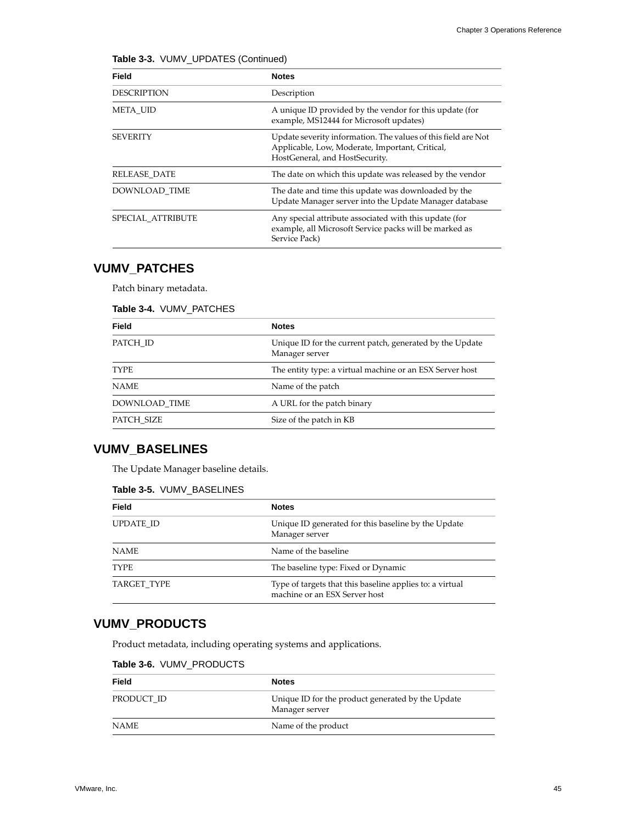|  |  |  | Table 3-3. VUMV_UPDATES (Continued) |
|--|--|--|-------------------------------------|
|--|--|--|-------------------------------------|

| Field              | <b>Notes</b>                                                                                                                                       |
|--------------------|----------------------------------------------------------------------------------------------------------------------------------------------------|
| <b>DESCRIPTION</b> | Description                                                                                                                                        |
| <b>META UID</b>    | A unique ID provided by the vendor for this update (for<br>example, MS12444 for Microsoft updates)                                                 |
| <b>SEVERITY</b>    | Update severity information. The values of this field are Not<br>Applicable, Low, Moderate, Important, Critical,<br>HostGeneral, and HostSecurity. |
| RELEASE DATE       | The date on which this update was released by the vendor                                                                                           |
| DOWNLOAD TIME      | The date and time this update was downloaded by the<br>Update Manager server into the Update Manager database                                      |
| SPECIAL ATTRIBUTE  | Any special attribute associated with this update (for<br>example, all Microsoft Service packs will be marked as<br>Service Pack)                  |

# <span id="page-44-0"></span>**VUMV\_PATCHES**

Patch binary metadata.

### **Table 3-4.** VUMV\_PATCHES

| Field         | <b>Notes</b>                                                               |
|---------------|----------------------------------------------------------------------------|
| PATCH ID      | Unique ID for the current patch, generated by the Update<br>Manager server |
| <b>TYPE</b>   | The entity type: a virtual machine or an ESX Server host                   |
| <b>NAME</b>   | Name of the patch                                                          |
| DOWNLOAD TIME | A URL for the patch binary                                                 |
| PATCH SIZE    | Size of the patch in KB                                                    |

# <span id="page-44-1"></span>**VUMV\_BASELINES**

The Update Manager baseline details.

### **Table 3-5.** VUMV\_BASELINES

| <b>Field</b> | <b>Notes</b>                                                                              |
|--------------|-------------------------------------------------------------------------------------------|
|              |                                                                                           |
| UPDATE ID    | Unique ID generated for this baseline by the Update<br>Manager server                     |
| <b>NAME</b>  | Name of the baseline                                                                      |
| <b>TYPE</b>  | The baseline type: Fixed or Dynamic                                                       |
| TARGET TYPE  | Type of targets that this baseline applies to: a virtual<br>machine or an ESX Server host |

# <span id="page-44-2"></span>**VUMV\_PRODUCTS**

Product metadata, including operating systems and applications.

### **Table 3-6.** VUMV\_PRODUCTS

| Field       | <b>Notes</b>                                                        |
|-------------|---------------------------------------------------------------------|
| PRODUCT ID  | Unique ID for the product generated by the Update<br>Manager server |
| <b>NAME</b> | Name of the product                                                 |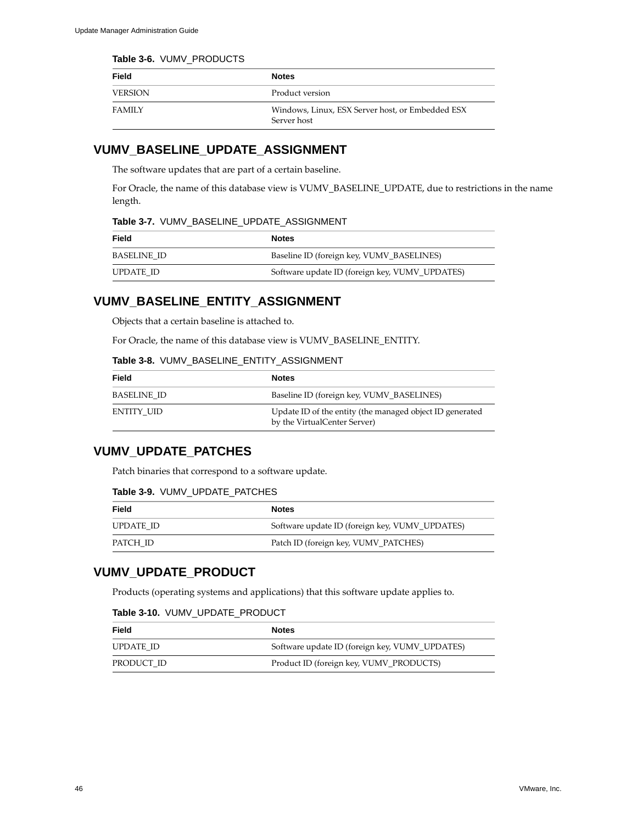### **Table 3-6.** VUMV\_PRODUCTS

| Field          | <b>Notes</b>                                                    |
|----------------|-----------------------------------------------------------------|
| <b>VERSION</b> | Product version                                                 |
| <b>FAMILY</b>  | Windows, Linux, ESX Server host, or Embedded ESX<br>Server host |

# <span id="page-45-0"></span>**VUMV\_BASELINE\_UPDATE\_ASSIGNMENT**

The software updates that are part of a certain baseline.

For Oracle, the name of this database view is VUMV\_BASELINE\_UPDATE, due to restrictions in the name length.

### **Table 3-7.** VUMV\_BASELINE\_UPDATE\_ASSIGNMENT

| Field       | <b>Notes</b>                                   |
|-------------|------------------------------------------------|
| BASELINE ID | Baseline ID (foreign key, VUMV_BASELINES)      |
| UPDATE ID   | Software update ID (foreign key, VUMV_UPDATES) |

### <span id="page-45-1"></span>**VUMV\_BASELINE\_ENTITY\_ASSIGNMENT**

Objects that a certain baseline is attached to.

For Oracle, the name of this database view is VUMV\_BASELINE\_ENTITY.

### **Table 3-8.** VUMV\_BASELINE\_ENTITY\_ASSIGNMENT

| Field              | <b>Notes</b>                                                                             |
|--------------------|------------------------------------------------------------------------------------------|
| <b>BASELINE ID</b> | Baseline ID (foreign key, VUMV_BASELINES)                                                |
| ENTITY UID         | Update ID of the entity (the managed object ID generated<br>by the VirtualCenter Server) |

# <span id="page-45-2"></span>**VUMV\_UPDATE\_PATCHES**

Patch binaries that correspond to a software update.

### **Table 3-9.** VUMV\_UPDATE\_PATCHES

| Field     | <b>Notes</b>                                   |
|-----------|------------------------------------------------|
| UPDATE ID | Software update ID (foreign key, VUMV_UPDATES) |
| PATCH ID  | Patch ID (foreign key, VUMV_PATCHES)           |

# <span id="page-45-3"></span>**VUMV\_UPDATE\_PRODUCT**

Products (operating systems and applications) that this software update applies to.

| Table 3-10. VUMV UPDATE PRODUCT |  |  |  |
|---------------------------------|--|--|--|
|---------------------------------|--|--|--|

| Field      | <b>Notes</b>                                   |
|------------|------------------------------------------------|
| UPDATE ID  | Software update ID (foreign key, VUMV_UPDATES) |
| PRODUCT ID | Product ID (foreign key, VUMV_PRODUCTS)        |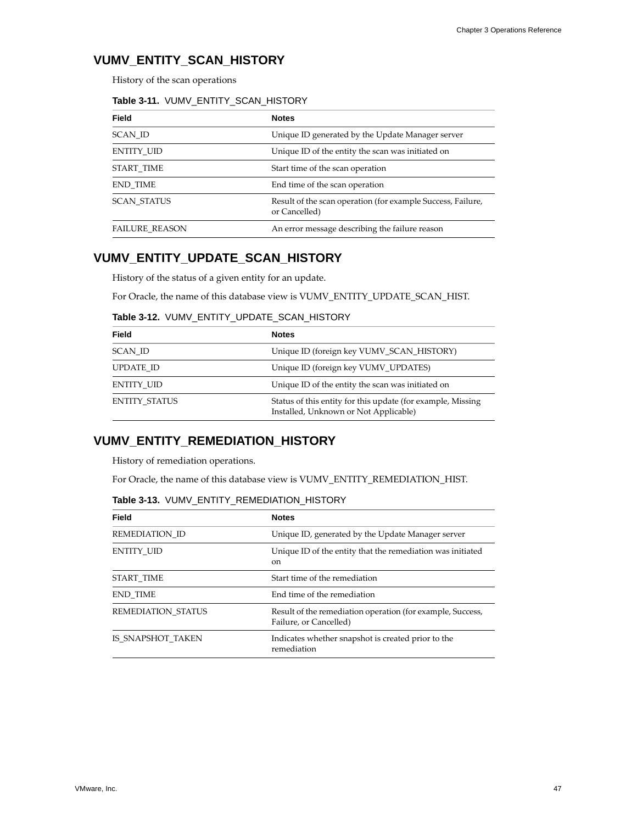# <span id="page-46-0"></span>**VUMV\_ENTITY\_SCAN\_HISTORY**

History of the scan operations

### **Table 3-11.** VUMV\_ENTITY\_SCAN\_HISTORY

| <b>Field</b>          | <b>Notes</b>                                                                 |
|-----------------------|------------------------------------------------------------------------------|
| SCAN ID               | Unique ID generated by the Update Manager server                             |
| <b>ENTITY UID</b>     | Unique ID of the entity the scan was initiated on                            |
| START TIME            | Start time of the scan operation                                             |
| <b>END TIME</b>       | End time of the scan operation                                               |
| <b>SCAN STATUS</b>    | Result of the scan operation (for example Success, Failure,<br>or Cancelled) |
| <b>FAILURE REASON</b> | An error message describing the failure reason                               |

# <span id="page-46-1"></span>**VUMV\_ENTITY\_UPDATE\_SCAN\_HISTORY**

History of the status of a given entity for an update.

For Oracle, the name of this database view is VUMV\_ENTITY\_UPDATE\_SCAN\_HIST.

### **Table 3-12.** VUMV\_ENTITY\_UPDATE\_SCAN\_HISTORY

| <b>Field</b>         | <b>Notes</b>                                                                                         |
|----------------------|------------------------------------------------------------------------------------------------------|
| SCAN ID              | Unique ID (foreign key VUMV SCAN HISTORY)                                                            |
| UPDATE ID            | Unique ID (foreign key VUMV UPDATES)                                                                 |
| ENTITY UID           | Unique ID of the entity the scan was initiated on                                                    |
| <b>ENTITY STATUS</b> | Status of this entity for this update (for example, Missing<br>Installed, Unknown or Not Applicable) |

# <span id="page-46-2"></span>**VUMV\_ENTITY\_REMEDIATION\_HISTORY**

History of remediation operations.

For Oracle, the name of this database view is VUMV\_ENTITY\_REMEDIATION\_HIST.

|  |  |  |  | Table 3-13. VUMV ENTITY REMEDIATION HISTORY |  |
|--|--|--|--|---------------------------------------------|--|
|--|--|--|--|---------------------------------------------|--|

| Field                     | <b>Notes</b>                                                                         |
|---------------------------|--------------------------------------------------------------------------------------|
| REMEDIATION ID            | Unique ID, generated by the Update Manager server                                    |
| <b>ENTITY UID</b>         | Unique ID of the entity that the remediation was initiated<br><sub>on</sub>          |
| START TIME                | Start time of the remediation                                                        |
| <b>END TIME</b>           | End time of the remediation                                                          |
| <b>REMEDIATION STATUS</b> | Result of the remediation operation (for example, Success,<br>Failure, or Cancelled) |
| IS SNAPSHOT TAKEN         | Indicates whether snapshot is created prior to the<br>remediation                    |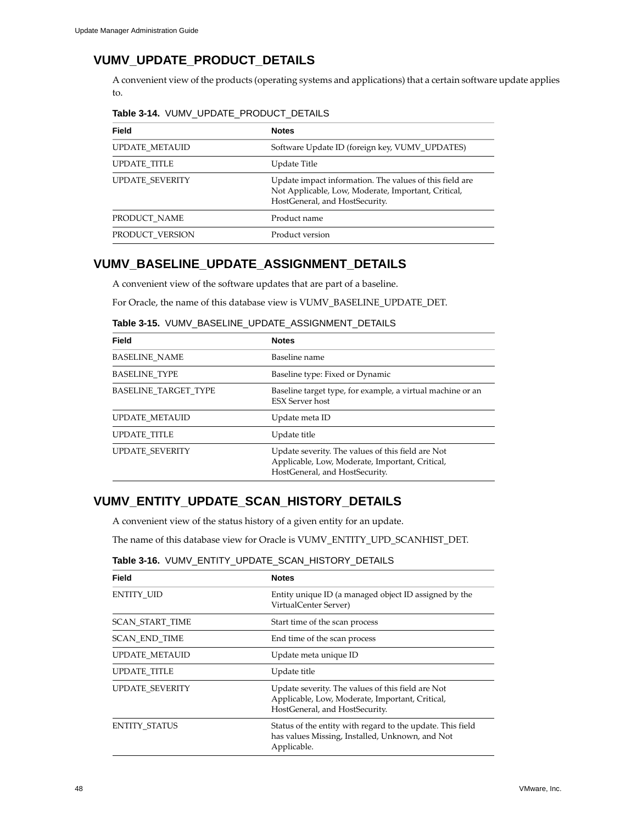# <span id="page-47-0"></span>**VUMV\_UPDATE\_PRODUCT\_DETAILS**

A convenient view of the products (operating systems and applications) that a certain software update applies to.

| <b>Field</b>           | <b>Notes</b>                                                                                                                                     |
|------------------------|--------------------------------------------------------------------------------------------------------------------------------------------------|
| <b>UPDATE METAUID</b>  | Software Update ID (foreign key, VUMV_UPDATES)                                                                                                   |
| <b>UPDATE TITLE</b>    | Update Title                                                                                                                                     |
| <b>UPDATE SEVERITY</b> | Update impact information. The values of this field are<br>Not Applicable, Low, Moderate, Important, Critical,<br>HostGeneral, and HostSecurity. |
| PRODUCT NAME           | Product name                                                                                                                                     |
| PRODUCT VERSION        | Product version                                                                                                                                  |

### **Table 3-14.** VUMV\_UPDATE\_PRODUCT\_DETAILS

# <span id="page-47-1"></span>**VUMV\_BASELINE\_UPDATE\_ASSIGNMENT\_DETAILS**

A convenient view of the software updates that are part of a baseline.

For Oracle, the name of this database view is VUMV\_BASELINE\_UPDATE\_DET.

| Field                       | <b>Notes</b>                                                                                                                           |
|-----------------------------|----------------------------------------------------------------------------------------------------------------------------------------|
| <b>BASELINE NAME</b>        | Baseline name                                                                                                                          |
| <b>BASELINE TYPE</b>        | Baseline type: Fixed or Dynamic                                                                                                        |
| <b>BASELINE TARGET TYPE</b> | Baseline target type, for example, a virtual machine or an<br><b>ESX Server host</b>                                                   |
| <b>UPDATE METAUID</b>       | Update meta ID                                                                                                                         |
| UPDATE_TITLE                | Update title                                                                                                                           |
| <b>UPDATE SEVERITY</b>      | Update severity. The values of this field are Not<br>Applicable, Low, Moderate, Important, Critical,<br>HostGeneral, and HostSecurity. |

### **Table 3-15.** VUMV\_BASELINE\_UPDATE\_ASSIGNMENT\_DETAILS

# <span id="page-47-2"></span>**VUMV\_ENTITY\_UPDATE\_SCAN\_HISTORY\_DETAILS**

A convenient view of the status history of a given entity for an update.

The name of this database view for Oracle is VUMV\_ENTITY\_UPD\_SCANHIST\_DET.

### **Table 3-16.** VUMV\_ENTITY\_UPDATE\_SCAN\_HISTORY\_DETAILS

<span id="page-47-3"></span>

| Field                                                                                               | <b>Notes</b>                                                                                                                           |
|-----------------------------------------------------------------------------------------------------|----------------------------------------------------------------------------------------------------------------------------------------|
| <b>ENTITY UID</b><br>Entity unique ID (a managed object ID assigned by the<br>VirtualCenter Server) |                                                                                                                                        |
| <b>SCAN START TIME</b>                                                                              | Start time of the scan process                                                                                                         |
| <b>SCAN END TIME</b>                                                                                | End time of the scan process                                                                                                           |
| UPDATE METAUID                                                                                      | Update meta unique ID                                                                                                                  |
| <b>UPDATE TITLE</b>                                                                                 | Update title                                                                                                                           |
| <b>UPDATE SEVERITY</b>                                                                              | Update severity. The values of this field are Not<br>Applicable, Low, Moderate, Important, Critical,<br>HostGeneral, and HostSecurity. |
| <b>ENTITY STATUS</b>                                                                                | Status of the entity with regard to the update. This field<br>has values Missing, Installed, Unknown, and Not<br>Applicable.           |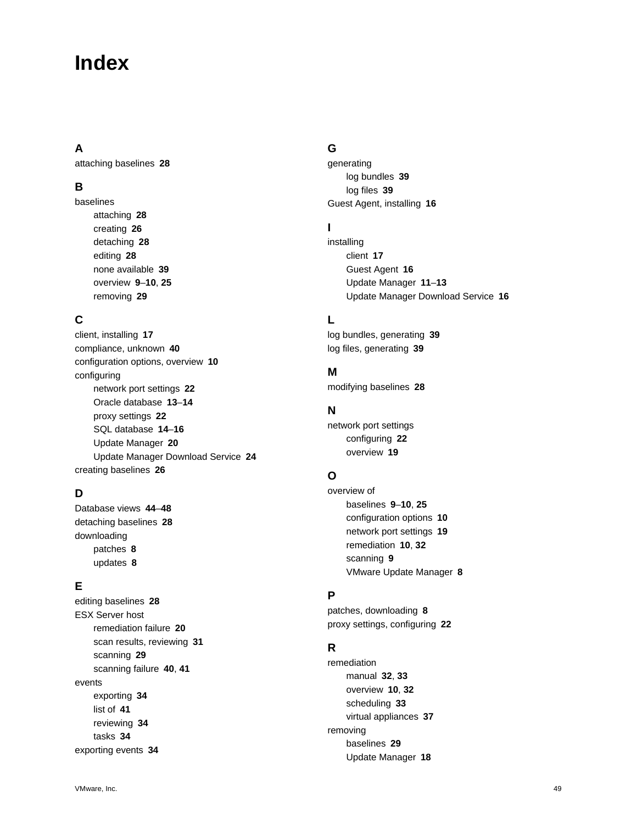# <span id="page-48-0"></span>**Index**

# **A**

attaching baselines **[28](#page-27-3)**

# **B**

baselines attaching **[28](#page-27-3)** creating **[26](#page-25-1)** detaching **[28](#page-27-4)** editing **[28](#page-27-5)** none available **[39](#page-38-6)** overview **[9](#page-8-1)**–**[10](#page-9-2)**, **[25](#page-24-2)** removing **[29](#page-28-2)**

# **C**

client, installing **[17](#page-16-1)** compliance, unknown **[40](#page-39-4)** configuration options, overview **[10](#page-9-3)** configuring network port settings **[22](#page-21-5)** Oracle database **[13](#page-12-2)**–**[14](#page-13-0)** proxy settings **[22](#page-21-6)** SQL database **[14](#page-13-1)**–**[16](#page-15-3)** Update Manager **[20](#page-19-4)** Update Manager Download Service **[24](#page-23-5)** creating baselines **[26](#page-25-1)**

# **D**

Database views **[44](#page-43-3)**–**[48](#page-47-3)** detaching baselines **[28](#page-27-4)** downloading patches **[8](#page-7-3)** updates **[8](#page-7-3)**

# **E**

editing baselines **[28](#page-27-5)** ESX Server host remediation failure **[20](#page-19-5)** scan results, reviewing **[31](#page-30-0)** scanning **[29](#page-28-3)** scanning failure **[40](#page-39-5)**, **[41](#page-40-3)** events exporting **[34](#page-33-2)** list of **[41](#page-40-4)** reviewing **[34](#page-33-3)** tasks **[34](#page-33-4)** exporting events **[34](#page-33-2)**

# **G**

generating log bundles **[39](#page-38-7)** log files **[39](#page-38-8)** Guest Agent, installing **[16](#page-15-4)**

# **I**

installing client **[17](#page-16-1)** Guest Agent **[16](#page-15-4)** Update Manager **[11](#page-10-3)**–**[13](#page-12-3)** Update Manager Download Service **[16](#page-15-5)**

# **L**

log bundles, generating **[39](#page-38-7)** log files, generating **[39](#page-38-8)**

# **M**

modifying baselines **[28](#page-27-5)**

# **N**

network port settings configuring **[22](#page-21-5)** overview **[19](#page-18-3)**

# **O**

overview of baselines **[9](#page-8-1)**–**[10](#page-9-2)**, **[25](#page-24-2)** configuration options **[10](#page-9-3)** network port settings **[19](#page-18-3)** remediation **[10](#page-9-4)**, **[32](#page-31-3)** scanning **[9](#page-8-2)** VMware Update Manager **[8](#page-7-4)**

# **P**

patches, downloading **[8](#page-7-3)** proxy settings, configuring **[22](#page-21-6)**

# **R**

remediation manual **[32](#page-31-4)**, **[33](#page-32-2)** overview **[10](#page-9-4)**, **[32](#page-31-3)** scheduling **[33](#page-32-3)** virtual appliances **[37](#page-36-2)** removing baselines **[29](#page-28-2)** Update Manager **[18](#page-17-3)**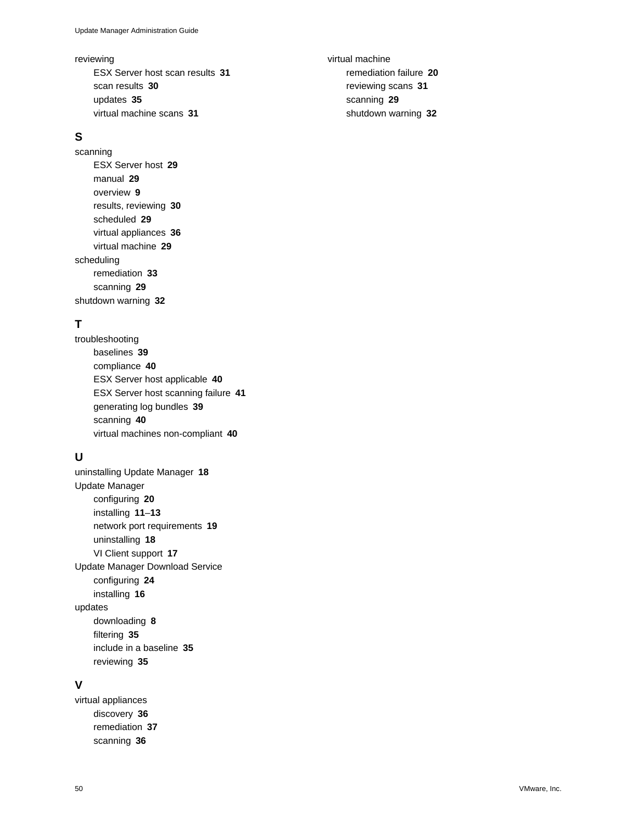#### reviewing

ESX Server host scan results **[31](#page-30-0)** scan results **[30](#page-29-1)** updates **[35](#page-34-3)** virtual machine scans **[31](#page-30-1)**

# **S**

scanning ESX Server host **[29](#page-28-3)** manual **[29](#page-28-4)** overview **[9](#page-8-2)** results, reviewing **[30](#page-29-1)** scheduled **[29](#page-28-5)** virtual appliances **[36](#page-35-4)** virtual machine **[29](#page-28-3)** scheduling remediation **[33](#page-32-3)** scanning **[29](#page-28-5)** shutdown warning **[32](#page-31-5)**

# **T**

troubleshooting baselines **[39](#page-38-6)** compliance **[40](#page-39-4)** ESX Server host applicable **[40](#page-39-5)** ESX Server host scanning failure **[41](#page-40-3)** generating log bundles **[39](#page-38-7)** scanning **[40](#page-39-5)** virtual machines non-compliant **[40](#page-39-6)**

# **U**

uninstalling Update Manager **[18](#page-17-3)** Update Manager configuring **[20](#page-19-4)** installing **[11](#page-10-3)**–**[13](#page-12-3)** network port requirements **[19](#page-18-3)** uninstalling **[18](#page-17-3)** VI Client support **[17](#page-16-1)** Update Manager Download Service configuring **[24](#page-23-5)** installing **[16](#page-15-5)** updates downloading **[8](#page-7-3)** filtering **[35](#page-34-4)** include in a baseline **[35](#page-34-5)** reviewing **[35](#page-34-3)**

### **V**

virtual appliances discovery **[36](#page-35-5)** remediation **[37](#page-36-2)** scanning **[36](#page-35-4)**

virtual machine remediation failure **[20](#page-19-6)** reviewing scans **[31](#page-30-1)** scanning **[29](#page-28-3)** shutdown warning **[32](#page-31-5)**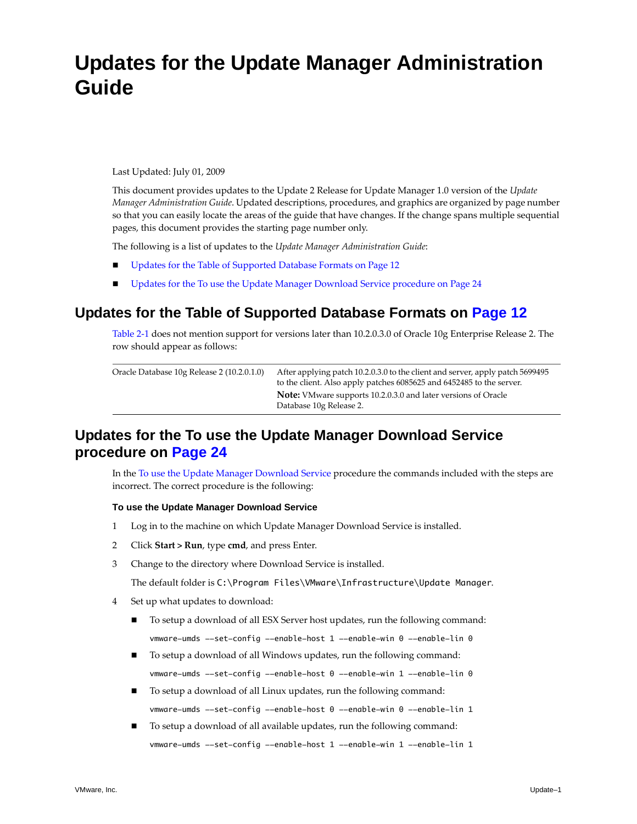# **Updates for the Update Manager Administration Guide**

Last Updated: July 01, 2009

This document provides updates to the Update 2 Release for Update Manager 1.0 version of the *Update Manager Administration Guide*. Updated descriptions, procedures, and graphics are organized by page number so that you can easily locate the areas of the guide that have changes. If the change spans multiple sequential pages, this document provides the starting page number only.

The following is a list of updates to the *Update Manager Administration Guide*:

- Updates for the Table of [Supported](#page-50-2) Database Formats on Page 12
- **Updates for the To use the Update Manager [Download](#page-50-3) Service procedure on Page 24**

# <span id="page-50-2"></span><span id="page-50-0"></span>**Updates for the Table of Supported Database Formats [on Page 12](#page-11-2)**

[Table 2](#page-11-3)‐1 does not mention support for versions later than 10.2.0.3.0 of Oracle 10g Enterprise Release 2. The row should appear as follows:

| Oracle Database 10g Release 2 (10.2.0.1.0) | After applying patch 10.2.0.3.0 to the client and server, apply patch 5699495<br>to the client. Also apply patches 6085625 and 6452485 to the server. |
|--------------------------------------------|-------------------------------------------------------------------------------------------------------------------------------------------------------|
|                                            | <b>Note:</b> VMware supports 10.2.0.3.0 and later versions of Oracle<br>Database 10g Release 2.                                                       |

# <span id="page-50-3"></span><span id="page-50-1"></span>**Updates for the To use the Update Manager Download Service procedure [on Page 24](#page-23-6)**

In the To use the Update Manager [Download](#page-23-6) Service procedure the commands included with the steps are incorrect. The correct procedure is the following:

### **To use the Update Manager Download Service**

- <span id="page-50-4"></span>1 Log in to the machine on which Update Manager Download Service is installed.
- 2 Click **Start > Run**, type **cmd**, and press Enter.
- <span id="page-50-5"></span>3 Change to the directory where Download Service is installed.

The default folder is C:\Program Files\VMware\Infrastructure\Update Manager.

- 4 Set up what updates to download:
	- To setup a download of all ESX Server host updates, run the following command: vmware-umds --set-config --enable-host 1 --enable-win 0 --enable-lin 0
	- To setup a download of all Windows updates, run the following command: vmware-umds --set-config --enable-host 0 --enable-win 1 --enable-lin 0
	- To setup a download of all Linux updates, run the following command: vmware-umds --set-config --enable-host 0 --enable-win 0 --enable-lin 1
	- To setup a download of all available updates, run the following command: vmware-umds --set-config --enable-host 1 --enable-win 1 --enable-lin 1